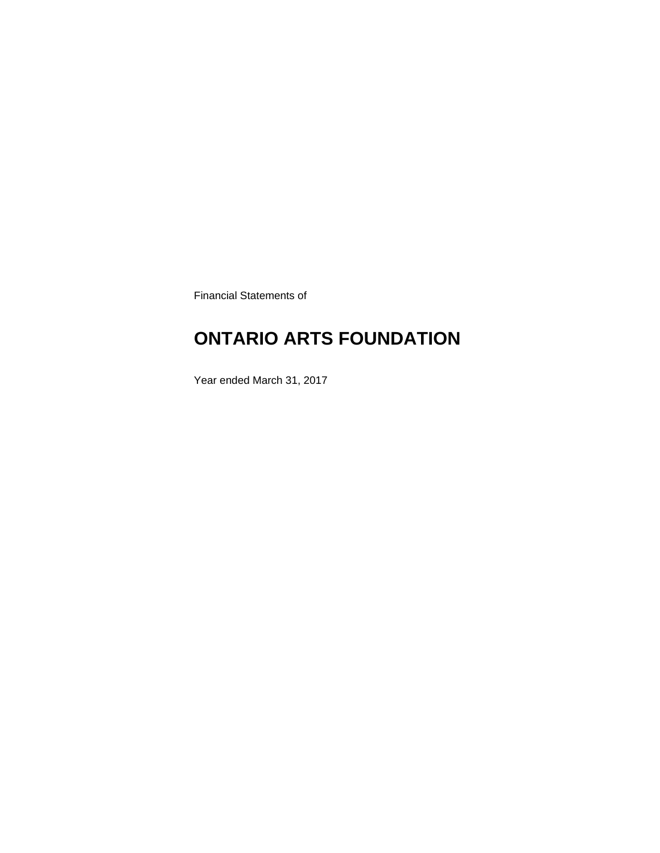Financial Statements of

# **ONTARIO ARTS FOUNDATION**

Year ended March 31, 2017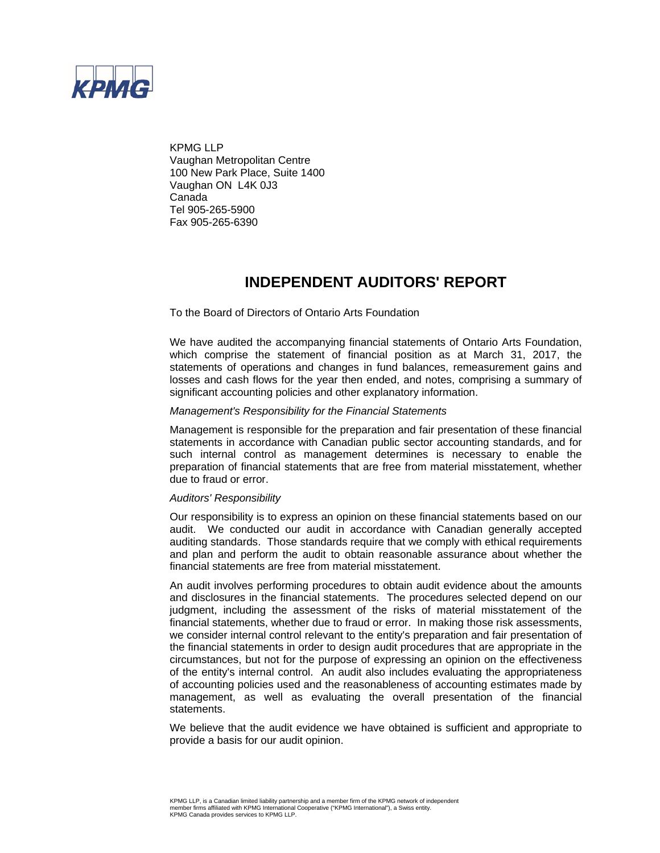

KPMG LLP Vaughan Metropolitan Centre 100 New Park Place, Suite 1400 Vaughan ON L4K 0J3 Canada Tel 905-265-5900 Fax 905-265-6390

## **INDEPENDENT AUDITORS' REPORT**

To the Board of Directors of Ontario Arts Foundation

We have audited the accompanying financial statements of Ontario Arts Foundation, which comprise the statement of financial position as at March 31, 2017, the statements of operations and changes in fund balances, remeasurement gains and losses and cash flows for the year then ended, and notes, comprising a summary of significant accounting policies and other explanatory information.

#### *Management's Responsibility for the Financial Statements*

Management is responsible for the preparation and fair presentation of these financial statements in accordance with Canadian public sector accounting standards, and for such internal control as management determines is necessary to enable the preparation of financial statements that are free from material misstatement, whether due to fraud or error.

#### *Auditors' Responsibility*

Our responsibility is to express an opinion on these financial statements based on our audit. We conducted our audit in accordance with Canadian generally accepted auditing standards. Those standards require that we comply with ethical requirements and plan and perform the audit to obtain reasonable assurance about whether the financial statements are free from material misstatement.

An audit involves performing procedures to obtain audit evidence about the amounts and disclosures in the financial statements. The procedures selected depend on our judgment, including the assessment of the risks of material misstatement of the financial statements, whether due to fraud or error. In making those risk assessments, we consider internal control relevant to the entity's preparation and fair presentation of the financial statements in order to design audit procedures that are appropriate in the circumstances, but not for the purpose of expressing an opinion on the effectiveness of the entity's internal control. An audit also includes evaluating the appropriateness of accounting policies used and the reasonableness of accounting estimates made by management, as well as evaluating the overall presentation of the financial statements.

We believe that the audit evidence we have obtained is sufficient and appropriate to provide a basis for our audit opinion.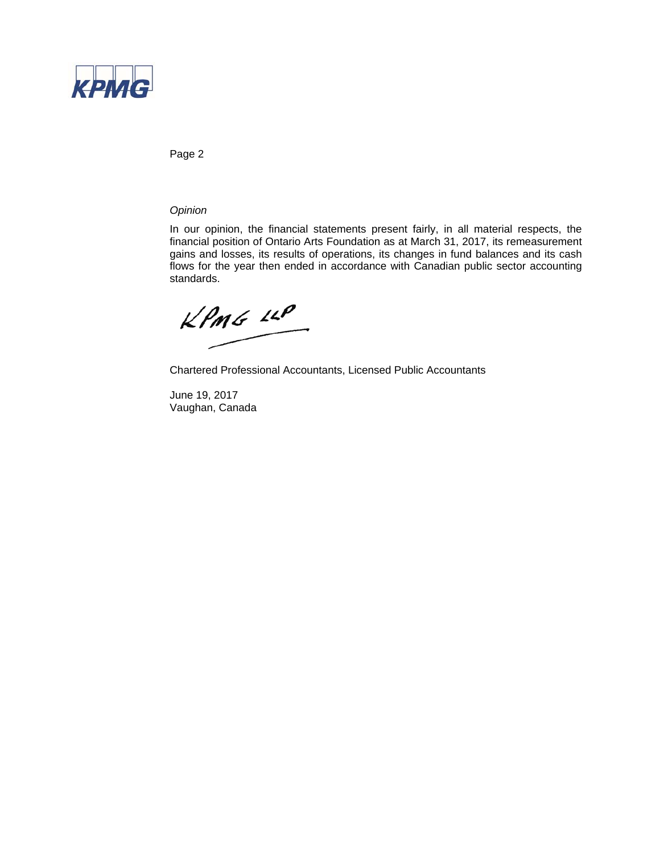

Page 2

### *Opinion*

In our opinion, the financial statements present fairly, in all material respects, the financial position of Ontario Arts Foundation as at March 31, 2017, its remeasurement gains and losses, its results of operations, its changes in fund balances and its cash flows for the year then ended in accordance with Canadian public sector accounting standards.

 $KPMG$  14P

Chartered Professional Accountants, Licensed Public Accountants

June 19, 2017 Vaughan, Canada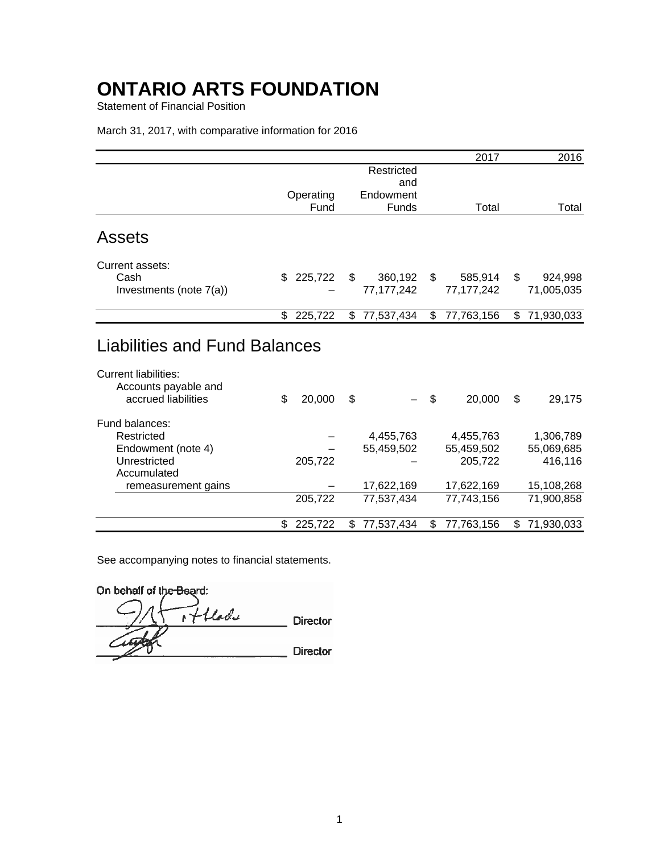Statement of Financial Position

### March 31, 2017, with comparative information for 2016

|                                                                     |               |                  | 2017             | 2016             |
|---------------------------------------------------------------------|---------------|------------------|------------------|------------------|
|                                                                     |               | Restricted       |                  |                  |
|                                                                     |               | and              |                  |                  |
|                                                                     | Operating     | Endowment        |                  |                  |
|                                                                     | Fund          | <b>Funds</b>     | Total            | Total            |
| Assets                                                              |               |                  |                  |                  |
| Current assets:                                                     |               |                  |                  |                  |
| Cash                                                                | 225,722<br>\$ | 360,192<br>\$    | \$<br>585,914    | 924,998<br>\$    |
| Investments (note 7(a))                                             |               | 77, 177, 242     | 77, 177, 242     | 71,005,035       |
|                                                                     |               |                  |                  |                  |
|                                                                     | 225,722<br>\$ | 77,537,434<br>\$ | \$<br>77,763,156 | 71,930,033<br>\$ |
| <b>Liabilities and Fund Balances</b><br><b>Current liabilities:</b> |               |                  |                  |                  |
| Accounts payable and<br>accrued liabilities                         | \$<br>20,000  | \$               | \$<br>20,000     | \$<br>29,175     |
| Fund balances:                                                      |               |                  |                  |                  |
| Restricted                                                          |               | 4,455,763        | 4,455,763        | 1,306,789        |
| Endowment (note 4)                                                  |               | 55,459,502       | 55,459,502       | 55,069,685       |
| Unrestricted                                                        | 205,722       |                  | 205,722          | 416,116          |
| Accumulated                                                         |               |                  |                  |                  |
| remeasurement gains                                                 |               | 17,622,169       | 17,622,169       | 15,108,268       |
|                                                                     | 205,722       | 77,537,434       | 77,743,156       | 71,900,858       |
|                                                                     | \$<br>225,722 | 77,537,434<br>\$ | 77,763,156<br>\$ | 71,930,033<br>\$ |

See accompanying notes to financial statements.

On behalf of the Beard:

of flade **Director Director**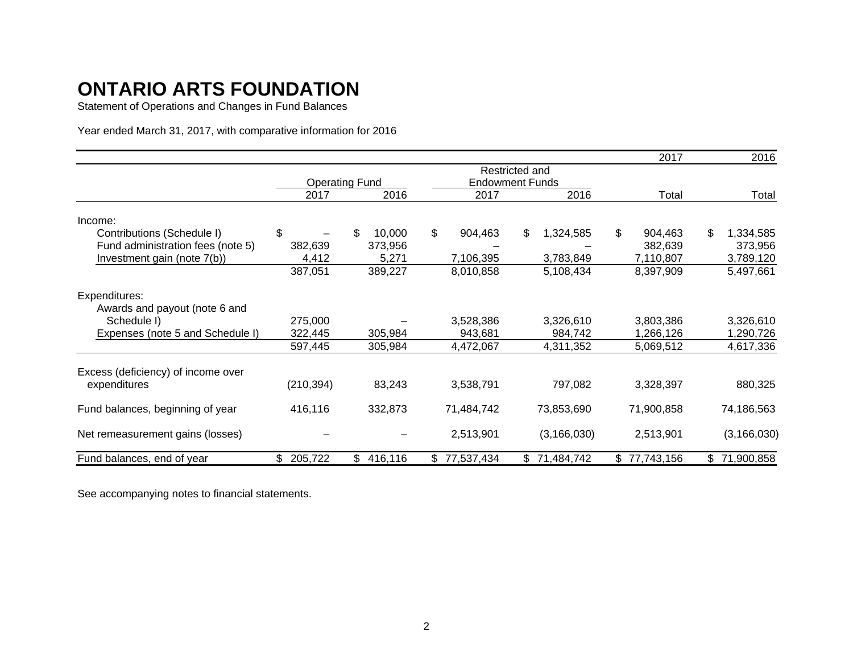Statement of Operations and Changes in Fund Balances

Year ended March 31, 2017, with comparative information for 2016

|                                    |               |                       |               |                        | 2017          | 2016            |
|------------------------------------|---------------|-----------------------|---------------|------------------------|---------------|-----------------|
|                                    |               |                       |               | Restricted and         |               |                 |
|                                    |               | <b>Operating Fund</b> |               | <b>Endowment Funds</b> |               |                 |
|                                    | 2017          | 2016                  | 2017          | 2016                   | Total         | Total           |
| Income:                            |               |                       |               |                        |               |                 |
| Contributions (Schedule I)         | \$            | 10,000<br>\$          | \$<br>904,463 | \$<br>1,324,585        | \$<br>904,463 | \$<br>1,334,585 |
| Fund administration fees (note 5)  | 382,639       | 373,956               |               |                        | 382,639       | 373,956         |
| Investment gain (note 7(b))        | 4,412         | 5,271                 | 7,106,395     | 3,783,849              | 7,110,807     | 3,789,120       |
|                                    | 387,051       | 389,227               | 8,010,858     | 5,108,434              | 8,397,909     | 5,497,661       |
| Expenditures:                      |               |                       |               |                        |               |                 |
| Awards and payout (note 6 and      |               |                       |               |                        |               |                 |
| Schedule I)                        | 275,000       |                       | 3,528,386     | 3,326,610              | 3,803,386     | 3,326,610       |
| Expenses (note 5 and Schedule I)   | 322,445       | 305,984               | 943,681       | 984,742                | 1,266,126     | 1,290,726       |
|                                    | 597,445       | 305,984               | 4,472,067     | 4,311,352              | 5,069,512     | 4,617,336       |
| Excess (deficiency) of income over |               |                       |               |                        |               |                 |
| expenditures                       | (210, 394)    | 83,243                | 3,538,791     | 797,082                | 3,328,397     | 880,325         |
| Fund balances, beginning of year   | 416,116       | 332,873               | 71,484,742    | 73,853,690             | 71,900,858    | 74,186,563      |
| Net remeasurement gains (losses)   |               |                       | 2,513,901     | (3, 166, 030)          | 2,513,901     | (3, 166, 030)   |
| Fund balances, end of year         | \$<br>205,722 | \$<br>416,116         | \$77,537,434  | \$71,484,742           | \$77,743,156  | \$71,900,858    |

See accompanying notes to financial statements.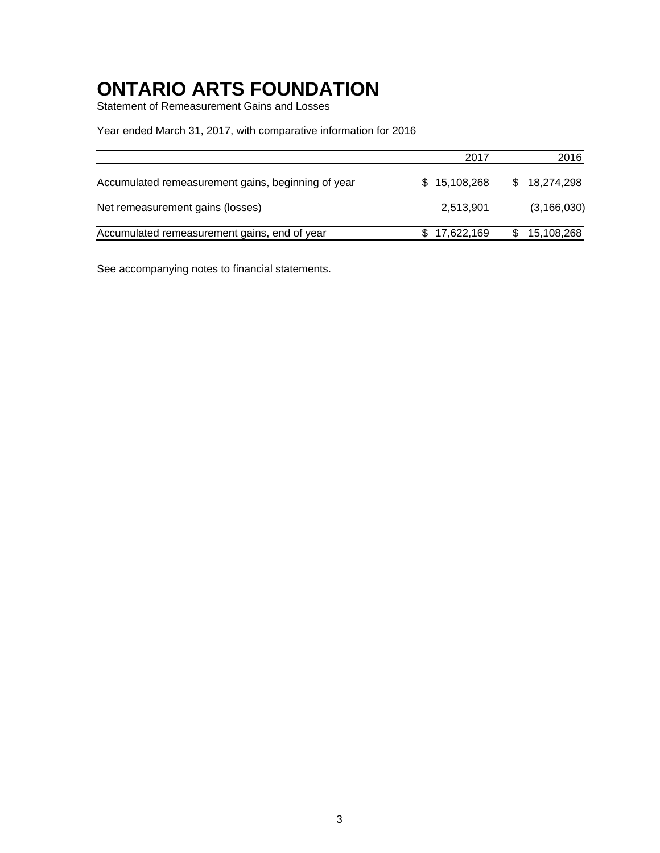Statement of Remeasurement Gains and Losses

### Year ended March 31, 2017, with comparative information for 2016

|                                                    | 2017         | 2016          |
|----------------------------------------------------|--------------|---------------|
| Accumulated remeasurement gains, beginning of year | \$15,108,268 | \$18,274,298  |
| Net remeasurement gains (losses)                   | 2,513,901    | (3, 166, 030) |
| Accumulated remeasurement gains, end of year       | \$17,622,169 | 15,108,268    |

See accompanying notes to financial statements.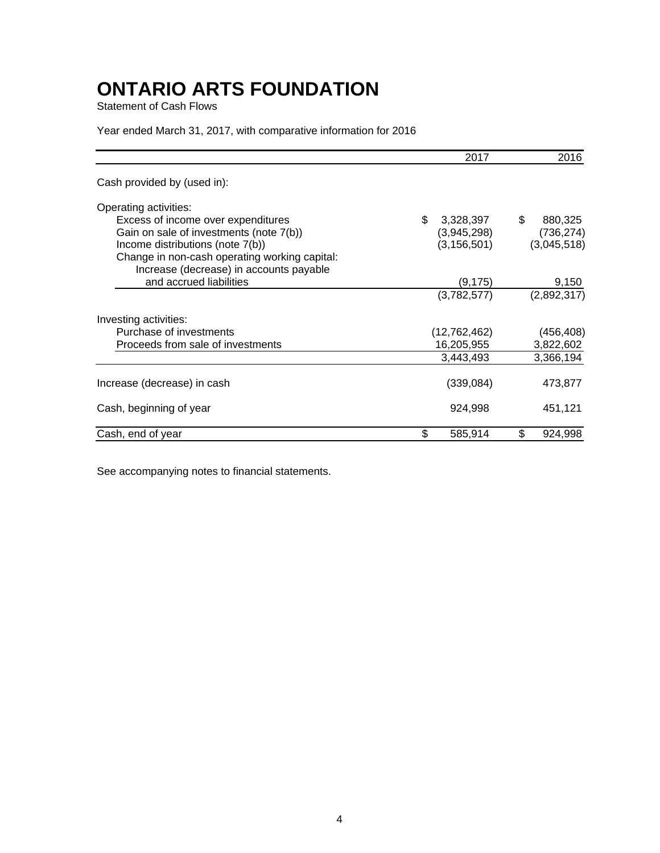Statement of Cash Flows

### Year ended March 31, 2017, with comparative information for 2016

|                                                                                          | 2017            | 2016          |
|------------------------------------------------------------------------------------------|-----------------|---------------|
| Cash provided by (used in):                                                              |                 |               |
| Operating activities:                                                                    |                 |               |
| Excess of income over expenditures                                                       | \$<br>3,328,397 | \$<br>880,325 |
| Gain on sale of investments (note 7(b))                                                  | (3,945,298)     | (736, 274)    |
| Income distributions (note 7(b))                                                         | (3, 156, 501)   | (3,045,518)   |
| Change in non-cash operating working capital:<br>Increase (decrease) in accounts payable |                 |               |
| and accrued liabilities                                                                  | (9, 175)        | 9,150         |
|                                                                                          | (3,782,577)     | (2,892,317)   |
| Investing activities:                                                                    |                 |               |
| Purchase of investments                                                                  | (12,762,462)    | (456, 408)    |
| Proceeds from sale of investments                                                        | 16,205,955      | 3,822,602     |
|                                                                                          | 3,443,493       | 3,366,194     |
| Increase (decrease) in cash                                                              | (339,084)       | 473,877       |
| Cash, beginning of year                                                                  | 924,998         | 451,121       |
| Cash, end of year                                                                        | \$<br>585,914   | \$<br>924,998 |

See accompanying notes to financial statements.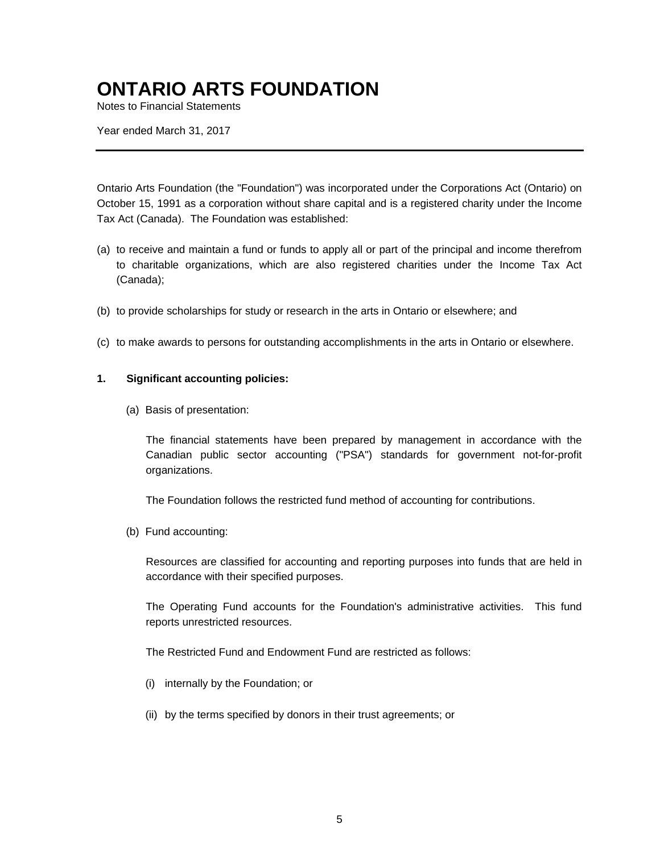Notes to Financial Statements

Year ended March 31, 2017

Ontario Arts Foundation (the "Foundation") was incorporated under the Corporations Act (Ontario) on October 15, 1991 as a corporation without share capital and is a registered charity under the Income Tax Act (Canada). The Foundation was established:

- (a) to receive and maintain a fund or funds to apply all or part of the principal and income therefrom to charitable organizations, which are also registered charities under the Income Tax Act (Canada);
- (b) to provide scholarships for study or research in the arts in Ontario or elsewhere; and
- (c) to make awards to persons for outstanding accomplishments in the arts in Ontario or elsewhere.

### **1. Significant accounting policies:**

(a) Basis of presentation:

The financial statements have been prepared by management in accordance with the Canadian public sector accounting ("PSA") standards for government not-for-profit organizations.

The Foundation follows the restricted fund method of accounting for contributions.

(b) Fund accounting:

Resources are classified for accounting and reporting purposes into funds that are held in accordance with their specified purposes.

The Operating Fund accounts for the Foundation's administrative activities. This fund reports unrestricted resources.

The Restricted Fund and Endowment Fund are restricted as follows:

- (i) internally by the Foundation; or
- (ii) by the terms specified by donors in their trust agreements; or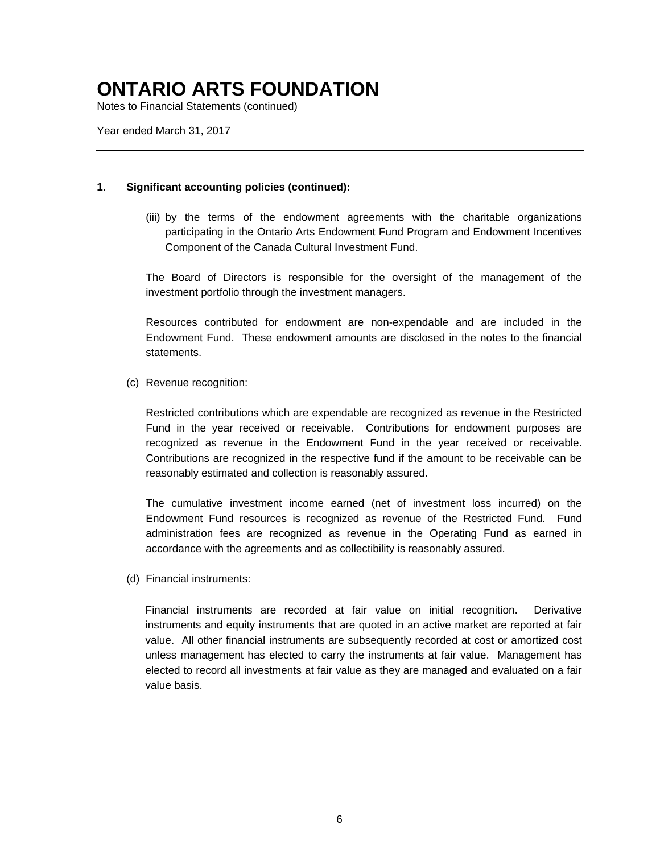Notes to Financial Statements (continued)

Year ended March 31, 2017

### **1. Significant accounting policies (continued):**

(iii) by the terms of the endowment agreements with the charitable organizations participating in the Ontario Arts Endowment Fund Program and Endowment Incentives Component of the Canada Cultural Investment Fund.

The Board of Directors is responsible for the oversight of the management of the investment portfolio through the investment managers.

Resources contributed for endowment are non-expendable and are included in the Endowment Fund. These endowment amounts are disclosed in the notes to the financial statements.

### (c) Revenue recognition:

Restricted contributions which are expendable are recognized as revenue in the Restricted Fund in the year received or receivable. Contributions for endowment purposes are recognized as revenue in the Endowment Fund in the year received or receivable. Contributions are recognized in the respective fund if the amount to be receivable can be reasonably estimated and collection is reasonably assured.

The cumulative investment income earned (net of investment loss incurred) on the Endowment Fund resources is recognized as revenue of the Restricted Fund. Fund administration fees are recognized as revenue in the Operating Fund as earned in accordance with the agreements and as collectibility is reasonably assured.

(d) Financial instruments:

Financial instruments are recorded at fair value on initial recognition. Derivative instruments and equity instruments that are quoted in an active market are reported at fair value. All other financial instruments are subsequently recorded at cost or amortized cost unless management has elected to carry the instruments at fair value. Management has elected to record all investments at fair value as they are managed and evaluated on a fair value basis.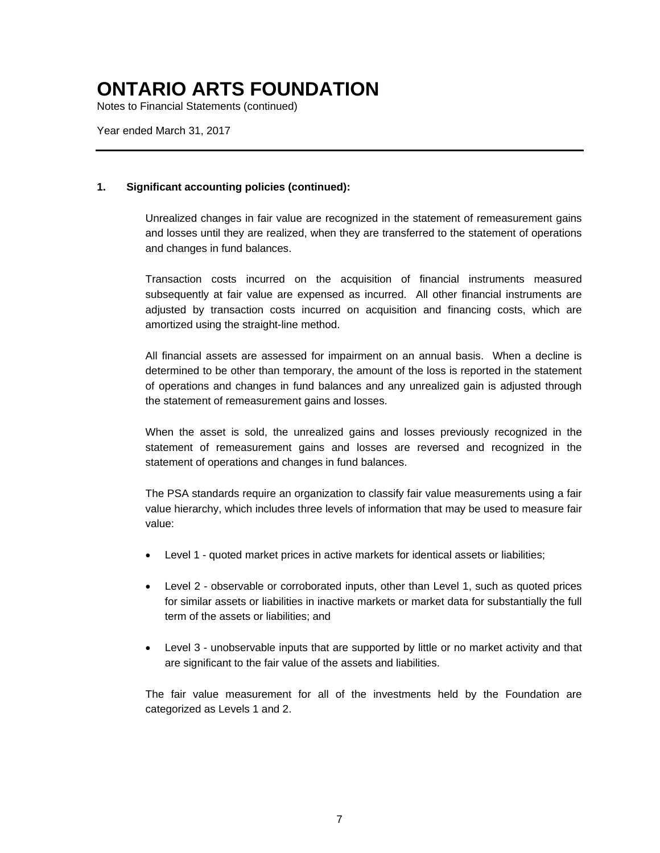Notes to Financial Statements (continued)

Year ended March 31, 2017

### **1. Significant accounting policies (continued):**

Unrealized changes in fair value are recognized in the statement of remeasurement gains and losses until they are realized, when they are transferred to the statement of operations and changes in fund balances.

Transaction costs incurred on the acquisition of financial instruments measured subsequently at fair value are expensed as incurred. All other financial instruments are adjusted by transaction costs incurred on acquisition and financing costs, which are amortized using the straight-line method.

All financial assets are assessed for impairment on an annual basis. When a decline is determined to be other than temporary, the amount of the loss is reported in the statement of operations and changes in fund balances and any unrealized gain is adjusted through the statement of remeasurement gains and losses.

When the asset is sold, the unrealized gains and losses previously recognized in the statement of remeasurement gains and losses are reversed and recognized in the statement of operations and changes in fund balances.

The PSA standards require an organization to classify fair value measurements using a fair value hierarchy, which includes three levels of information that may be used to measure fair value:

- Level 1 quoted market prices in active markets for identical assets or liabilities;
- Level 2 observable or corroborated inputs, other than Level 1, such as quoted prices for similar assets or liabilities in inactive markets or market data for substantially the full term of the assets or liabilities; and
- Level 3 unobservable inputs that are supported by little or no market activity and that are significant to the fair value of the assets and liabilities.

The fair value measurement for all of the investments held by the Foundation are categorized as Levels 1 and 2.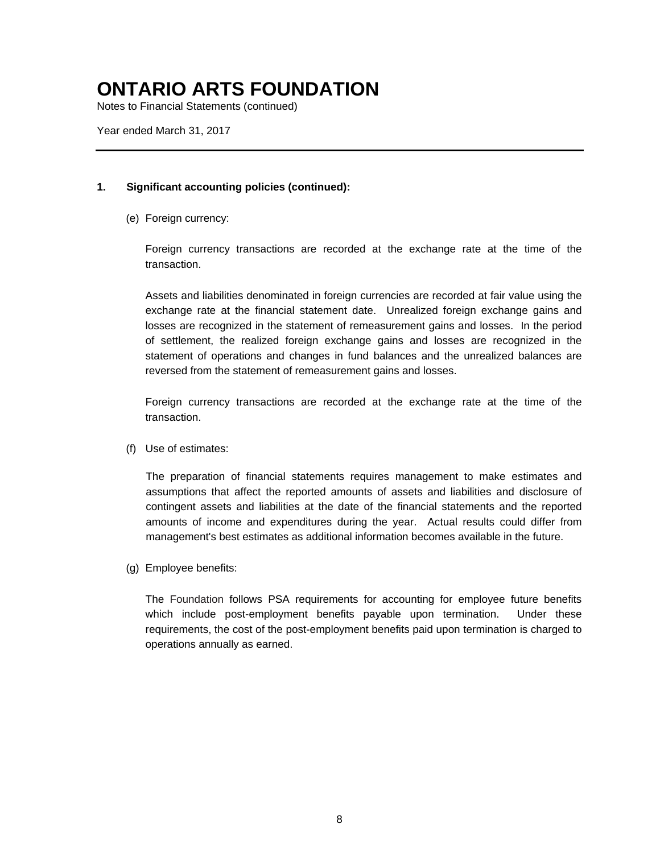Notes to Financial Statements (continued)

Year ended March 31, 2017

### **1. Significant accounting policies (continued):**

(e) Foreign currency:

Foreign currency transactions are recorded at the exchange rate at the time of the transaction.

Assets and liabilities denominated in foreign currencies are recorded at fair value using the exchange rate at the financial statement date. Unrealized foreign exchange gains and losses are recognized in the statement of remeasurement gains and losses. In the period of settlement, the realized foreign exchange gains and losses are recognized in the statement of operations and changes in fund balances and the unrealized balances are reversed from the statement of remeasurement gains and losses.

Foreign currency transactions are recorded at the exchange rate at the time of the transaction.

(f) Use of estimates:

The preparation of financial statements requires management to make estimates and assumptions that affect the reported amounts of assets and liabilities and disclosure of contingent assets and liabilities at the date of the financial statements and the reported amounts of income and expenditures during the year. Actual results could differ from management's best estimates as additional information becomes available in the future.

(g) Employee benefits:

The Foundation follows PSA requirements for accounting for employee future benefits which include post-employment benefits payable upon termination. Under these requirements, the cost of the post-employment benefits paid upon termination is charged to operations annually as earned.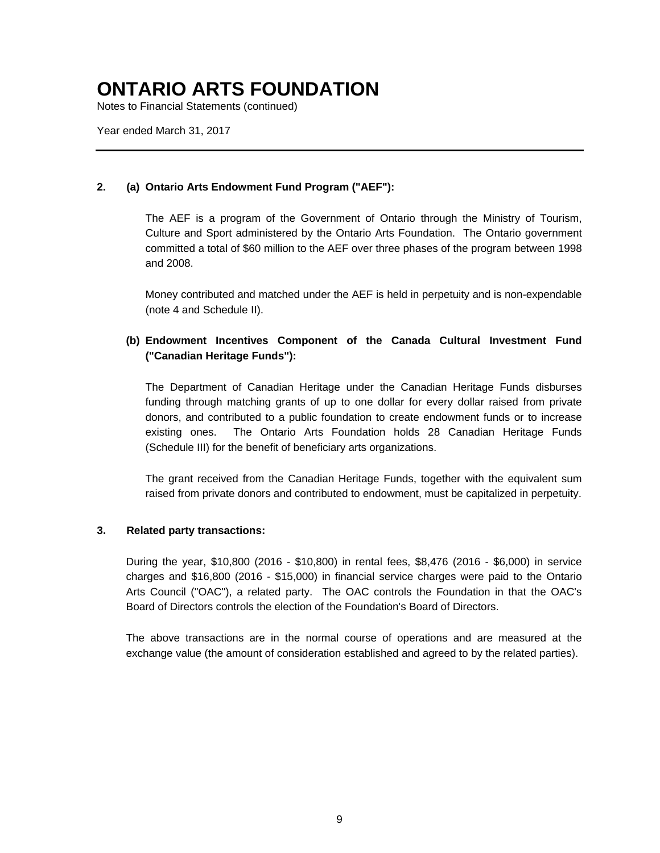Notes to Financial Statements (continued)

Year ended March 31, 2017

### **2. (a) Ontario Arts Endowment Fund Program ("AEF"):**

The AEF is a program of the Government of Ontario through the Ministry of Tourism, Culture and Sport administered by the Ontario Arts Foundation. The Ontario government committed a total of \$60 million to the AEF over three phases of the program between 1998 and 2008.

Money contributed and matched under the AEF is held in perpetuity and is non-expendable (note 4 and Schedule II).

### **(b) Endowment Incentives Component of the Canada Cultural Investment Fund ("Canadian Heritage Funds"):**

The Department of Canadian Heritage under the Canadian Heritage Funds disburses funding through matching grants of up to one dollar for every dollar raised from private donors, and contributed to a public foundation to create endowment funds or to increase existing ones. The Ontario Arts Foundation holds 28 Canadian Heritage Funds (Schedule III) for the benefit of beneficiary arts organizations.

The grant received from the Canadian Heritage Funds, together with the equivalent sum raised from private donors and contributed to endowment, must be capitalized in perpetuity.

### **3. Related party transactions:**

During the year, \$10,800 (2016 - \$10,800) in rental fees, \$8,476 (2016 - \$6,000) in service charges and \$16,800 (2016 - \$15,000) in financial service charges were paid to the Ontario Arts Council ("OAC"), a related party. The OAC controls the Foundation in that the OAC's Board of Directors controls the election of the Foundation's Board of Directors.

The above transactions are in the normal course of operations and are measured at the exchange value (the amount of consideration established and agreed to by the related parties).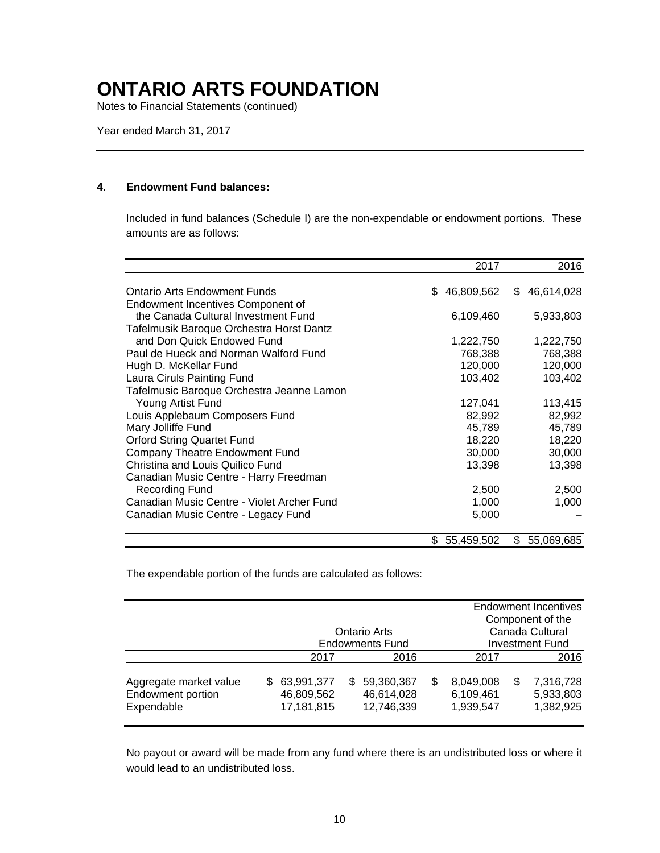Notes to Financial Statements (continued)

Year ended March 31, 2017

### **4. Endowment Fund balances:**

Included in fund balances (Schedule I) are the non-expendable or endowment portions. These amounts are as follows:

|                                                                          | 2017                 | 2016                 |
|--------------------------------------------------------------------------|----------------------|----------------------|
| Ontario Arts Endowment Funds<br><b>Endowment Incentives Component of</b> | 46,809,562<br>\$.    | 46,614,028<br>\$.    |
| the Canada Cultural Investment Fund                                      | 6,109,460            | 5,933,803            |
| Tafelmusik Baroque Orchestra Horst Dantz<br>and Don Quick Endowed Fund   |                      |                      |
| Paul de Hueck and Norman Walford Fund                                    | 1,222,750<br>768,388 | 1,222,750<br>768,388 |
| Hugh D. McKellar Fund                                                    | 120,000              | 120,000              |
| Laura Ciruls Painting Fund                                               | 103,402              | 103,402              |
| Tafelmusic Baroque Orchestra Jeanne Lamon                                |                      |                      |
| Young Artist Fund                                                        | 127,041              | 113,415              |
| Louis Applebaum Composers Fund<br>Mary Jolliffe Fund                     | 82,992<br>45,789     | 82,992<br>45,789     |
| <b>Orford String Quartet Fund</b>                                        | 18,220               | 18,220               |
| <b>Company Theatre Endowment Fund</b>                                    | 30,000               | 30,000               |
| Christina and Louis Quilico Fund                                         | 13,398               | 13,398               |
| Canadian Music Centre - Harry Freedman                                   |                      |                      |
| <b>Recording Fund</b>                                                    | 2,500                | 2,500                |
| Canadian Music Centre - Violet Archer Fund                               | 1,000                | 1,000                |
| Canadian Music Centre - Legacy Fund                                      | 5,000                |                      |
|                                                                          | 55,459,502<br>\$     | \$<br>55,069,685     |

The expendable portion of the funds are calculated as follows:

|                                                                  |    |                                        |      |                                        |                 | <b>Endowment Incentives</b><br>Component of the |      |                                     |
|------------------------------------------------------------------|----|----------------------------------------|------|----------------------------------------|-----------------|-------------------------------------------------|------|-------------------------------------|
|                                                                  |    |                                        |      | Ontario Arts                           | Canada Cultural |                                                 |      |                                     |
|                                                                  |    |                                        |      | <b>Endowments Fund</b>                 |                 | <b>Investment Fund</b>                          |      |                                     |
|                                                                  |    | 2017                                   | 2016 |                                        |                 | 2017                                            | 2016 |                                     |
| Aggregate market value<br><b>Endowment portion</b><br>Expendable | S. | 63,991,377<br>46,809,562<br>17,181,815 | SS.  | 59,360,367<br>46,614,028<br>12,746,339 | \$              | 8,049,008<br>6,109,461<br>1,939,547             | S    | 7,316,728<br>5,933,803<br>1,382,925 |

No payout or award will be made from any fund where there is an undistributed loss or where it would lead to an undistributed loss.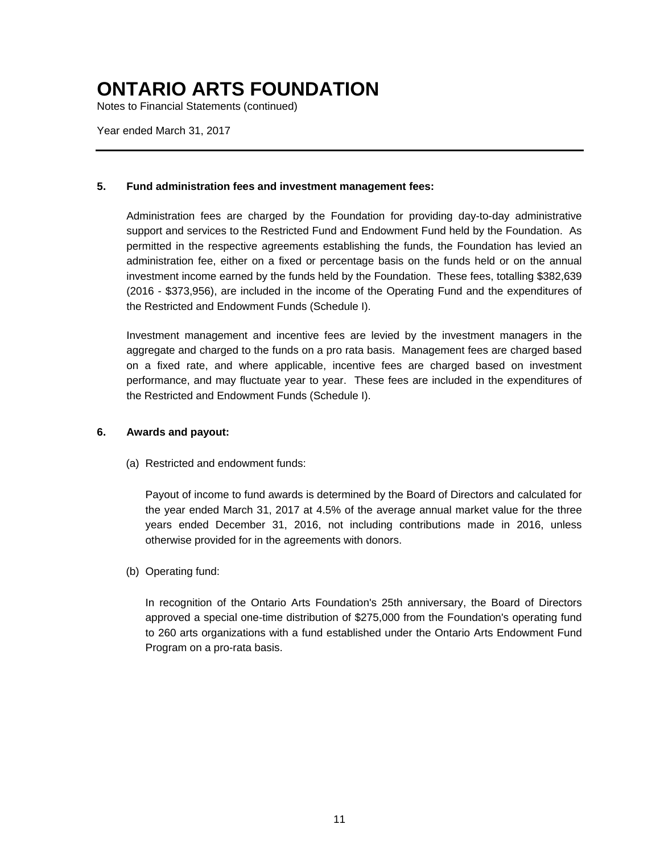Notes to Financial Statements (continued)

Year ended March 31, 2017

### **5. Fund administration fees and investment management fees:**

Administration fees are charged by the Foundation for providing day-to-day administrative support and services to the Restricted Fund and Endowment Fund held by the Foundation. As permitted in the respective agreements establishing the funds, the Foundation has levied an administration fee, either on a fixed or percentage basis on the funds held or on the annual investment income earned by the funds held by the Foundation. These fees, totalling \$382,639 (2016 - \$373,956), are included in the income of the Operating Fund and the expenditures of the Restricted and Endowment Funds (Schedule I).

Investment management and incentive fees are levied by the investment managers in the aggregate and charged to the funds on a pro rata basis. Management fees are charged based on a fixed rate, and where applicable, incentive fees are charged based on investment performance, and may fluctuate year to year. These fees are included in the expenditures of the Restricted and Endowment Funds (Schedule I).

### **6. Awards and payout:**

(a) Restricted and endowment funds:

Payout of income to fund awards is determined by the Board of Directors and calculated for the year ended March 31, 2017 at 4.5% of the average annual market value for the three years ended December 31, 2016, not including contributions made in 2016, unless otherwise provided for in the agreements with donors.

(b) Operating fund:

In recognition of the Ontario Arts Foundation's 25th anniversary, the Board of Directors approved a special one-time distribution of \$275,000 from the Foundation's operating fund to 260 arts organizations with a fund established under the Ontario Arts Endowment Fund Program on a pro-rata basis.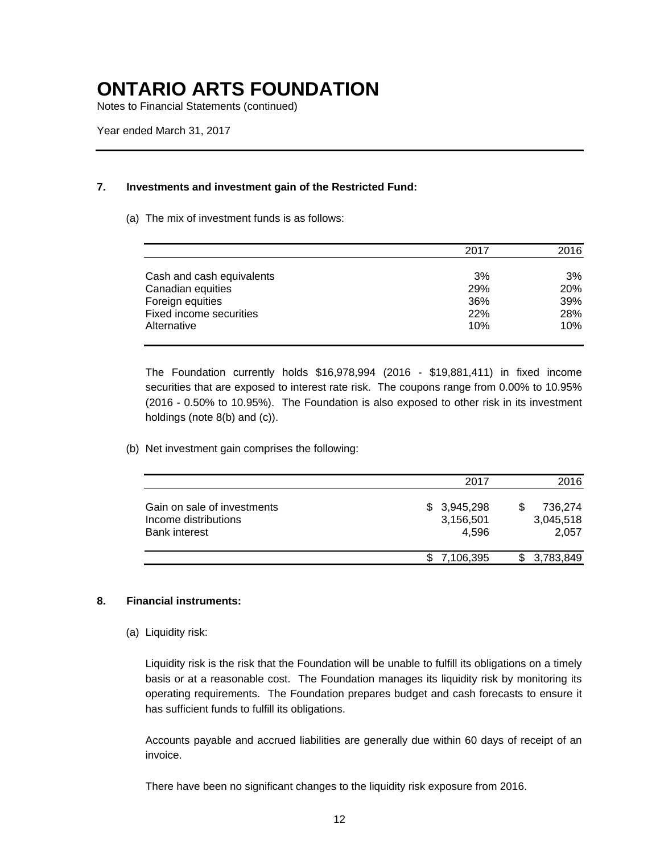Notes to Financial Statements (continued)

### **7. Investments and investment gain of the Restricted Fund:**

#### (a) The mix of investment funds is as follows:

|                           | 2017 | 2016 |
|---------------------------|------|------|
|                           |      |      |
| Cash and cash equivalents | 3%   | 3%   |
| Canadian equities         | 29%  | 20%  |
| Foreign equities          | 36%  | 39%  |
| Fixed income securities   | 22%  | 28%  |
| Alternative               | 10%  | 10%  |

The Foundation currently holds \$16,978,994 (2016 - \$19,881,411) in fixed income securities that are exposed to interest rate risk. The coupons range from 0.00% to 10.95% (2016 - 0.50% to 10.95%). The Foundation is also exposed to other risk in its investment holdings (note 8(b) and (c)).

### (b) Net investment gain comprises the following:

|                                                                             | 2017                              | 2016                          |
|-----------------------------------------------------------------------------|-----------------------------------|-------------------------------|
| Gain on sale of investments<br>Income distributions<br><b>Bank interest</b> | \$3,945,298<br>3,156,501<br>4.596 | 736,274<br>3,045,518<br>2,057 |
|                                                                             | 7,106,395                         | 3,783,849                     |

### **8. Financial instruments:**

### (a) Liquidity risk:

Liquidity risk is the risk that the Foundation will be unable to fulfill its obligations on a timely basis or at a reasonable cost. The Foundation manages its liquidity risk by monitoring its operating requirements. The Foundation prepares budget and cash forecasts to ensure it has sufficient funds to fulfill its obligations.

Accounts payable and accrued liabilities are generally due within 60 days of receipt of an invoice.

There have been no significant changes to the liquidity risk exposure from 2016.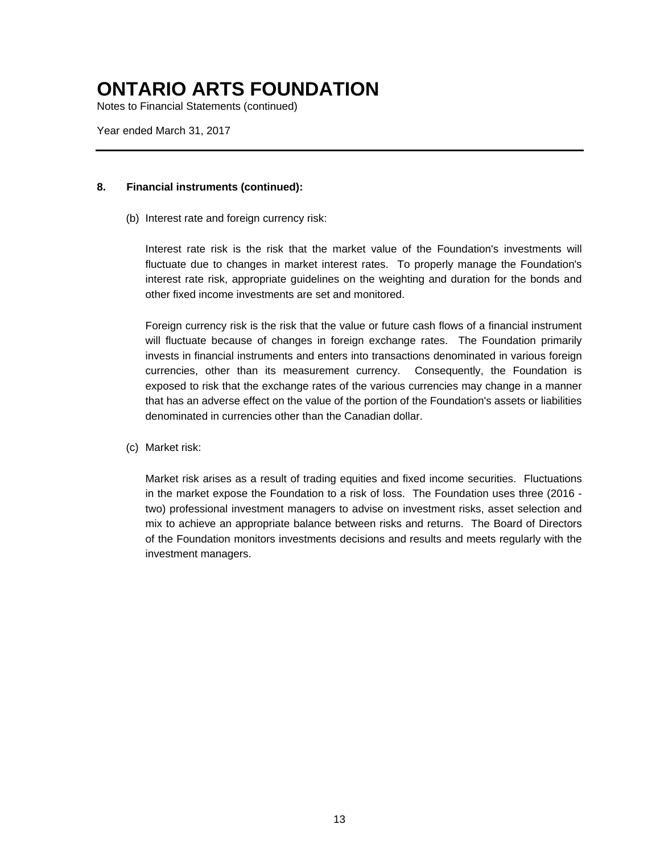Notes to Financial Statements (continued)

Year ended March 31, 2017

### **8. Financial instruments (continued):**

(b) Interest rate and foreign currency risk:

Interest rate risk is the risk that the market value of the Foundation's investments will fluctuate due to changes in market interest rates. To properly manage the Foundation's interest rate risk, appropriate guidelines on the weighting and duration for the bonds and other fixed income investments are set and monitored.

Foreign currency risk is the risk that the value or future cash flows of a financial instrument will fluctuate because of changes in foreign exchange rates. The Foundation primarily invests in financial instruments and enters into transactions denominated in various foreign currencies, other than its measurement currency. Consequently, the Foundation is exposed to risk that the exchange rates of the various currencies may change in a manner that has an adverse effect on the value of the portion of the Foundation's assets or liabilities denominated in currencies other than the Canadian dollar.

(c) Market risk:

Market risk arises as a result of trading equities and fixed income securities. Fluctuations in the market expose the Foundation to a risk of loss. The Foundation uses three (2016 two) professional investment managers to advise on investment risks, asset selection and mix to achieve an appropriate balance between risks and returns. The Board of Directors of the Foundation monitors investments decisions and results and meets regularly with the investment managers.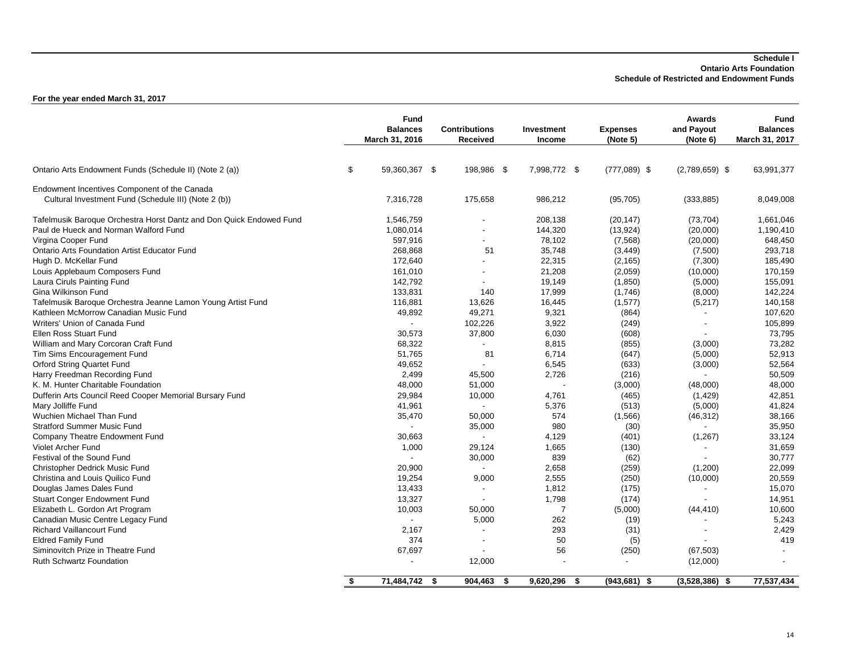#### **Schedule I Ontario Arts Foundation Schedule of Restricted and Endowment Funds**

|                                                                     | <b>Fund</b><br><b>Balances</b><br>March 31, 2016 | <b>Contributions</b><br>Received |     | Investment<br><b>Income</b> |     | <b>Expenses</b><br>(Note 5) | <b>Awards</b><br>and Payout<br>(Note 6) | <b>Fund</b><br><b>Balances</b><br>March 31, 2017 |
|---------------------------------------------------------------------|--------------------------------------------------|----------------------------------|-----|-----------------------------|-----|-----------------------------|-----------------------------------------|--------------------------------------------------|
| Ontario Arts Endowment Funds (Schedule II) (Note 2 (a))             | \$<br>59,360,367 \$                              | 198,986 \$                       |     | 7,998,772 \$                |     | $(777,089)$ \$              | $(2,789,659)$ \$                        | 63,991,377                                       |
| Endowment Incentives Component of the Canada                        |                                                  |                                  |     |                             |     |                             |                                         |                                                  |
| Cultural Investment Fund (Schedule III) (Note 2 (b))                | 7,316,728                                        | 175,658                          |     | 986,212                     |     | (95, 705)                   | (333, 885)                              | 8,049,008                                        |
| Tafelmusik Baroque Orchestra Horst Dantz and Don Quick Endowed Fund | 1,546,759                                        |                                  |     | 208,138                     |     | (20, 147)                   | (73, 704)                               | 1,661,046                                        |
| Paul de Hueck and Norman Walford Fund                               | 1,080,014                                        |                                  |     | 144,320                     |     | (13, 924)                   | (20,000)                                | 1,190,410                                        |
| Virgina Cooper Fund                                                 | 597,916                                          |                                  |     | 78,102                      |     | (7, 568)                    | (20,000)                                | 648,450                                          |
| <b>Ontario Arts Foundation Artist Educator Fund</b>                 | 268,868                                          | 51                               |     | 35,748                      |     | (3, 449)                    | (7,500)                                 | 293,718                                          |
| Hugh D. McKellar Fund                                               | 172,640                                          |                                  |     | 22,315                      |     | (2, 165)                    | (7,300)                                 | 185,490                                          |
| Louis Applebaum Composers Fund                                      | 161,010                                          | $\blacksquare$                   |     | 21,208                      |     | (2,059)                     | (10,000)                                | 170,159                                          |
| Laura Ciruls Painting Fund                                          | 142,792                                          |                                  |     | 19,149                      |     | (1, 850)                    | (5,000)                                 | 155,091                                          |
| Gina Wilkinson Fund                                                 | 133.831                                          | 140                              |     | 17,999                      |     | (1,746)                     | (8,000)                                 | 142,224                                          |
| Tafelmusik Baroque Orchestra Jeanne Lamon Young Artist Fund         | 116,881                                          | 13,626                           |     | 16,445                      |     | (1,577)                     | (5,217)                                 | 140,158                                          |
| Kathleen McMorrow Canadian Music Fund                               | 49,892                                           | 49,271                           |     | 9,321                       |     | (864)                       |                                         | 107,620                                          |
| Writers' Union of Canada Fund                                       | $\sim$                                           | 102,226                          |     | 3,922                       |     | (249)                       | $\blacksquare$                          | 105,899                                          |
| Ellen Ross Stuart Fund                                              | 30,573                                           | 37,800                           |     | 6,030                       |     | (608)                       |                                         | 73,795                                           |
| William and Mary Corcoran Craft Fund                                | 68,322                                           | $\blacksquare$                   |     | 8,815                       |     | (855)                       | (3,000)                                 | 73,282                                           |
| Tim Sims Encouragement Fund                                         | 51,765                                           | 81                               |     | 6,714                       |     | (647)                       | (5,000)                                 | 52,913                                           |
| Orford String Quartet Fund                                          | 49,652                                           |                                  |     | 6,545                       |     | (633)                       | (3,000)                                 | 52,564                                           |
| Harry Freedman Recording Fund                                       | 2,499                                            | 45,500                           |     | 2,726                       |     | (216)                       |                                         | 50,509                                           |
| K. M. Hunter Charitable Foundation                                  | 48,000                                           | 51,000                           |     |                             |     | (3,000)                     | (48,000)                                | 48,000                                           |
| Dufferin Arts Council Reed Cooper Memorial Bursary Fund             | 29,984                                           | 10,000                           |     | 4,761                       |     | (465)                       | (1,429)                                 | 42,851                                           |
| Mary Jolliffe Fund                                                  | 41,961                                           | $\blacksquare$                   |     | 5,376                       |     | (513)                       | (5,000)                                 | 41,824                                           |
| Wuchien Michael Than Fund                                           | 35,470                                           | 50,000                           |     | 574                         |     | (1,566)                     | (46, 312)                               | 38,166                                           |
| <b>Stratford Summer Music Fund</b>                                  | $\sim$                                           | 35,000                           |     | 980                         |     | (30)                        |                                         | 35,950                                           |
| Company Theatre Endowment Fund                                      | 30,663                                           |                                  |     | 4,129                       |     | (401)                       | (1, 267)                                | 33,124                                           |
| <b>Violet Archer Fund</b>                                           | 1,000                                            | 29,124                           |     | 1,665                       |     | (130)                       |                                         | 31,659                                           |
| Festival of the Sound Fund                                          | $\sim$                                           | 30,000                           |     | 839                         |     | (62)                        |                                         | 30,777                                           |
| <b>Christopher Dedrick Music Fund</b>                               | 20,900                                           | $\blacksquare$                   |     | 2,658                       |     | (259)                       | (1,200)                                 | 22,099                                           |
| Christina and Louis Quilico Fund                                    | 19,254                                           | 9,000                            |     | 2,555                       |     | (250)                       | (10,000)                                | 20,559                                           |
| Douglas James Dales Fund                                            | 13,433                                           | $\overline{\phantom{a}}$         |     | 1,812                       |     | (175)                       |                                         | 15,070                                           |
| <b>Stuart Conger Endowment Fund</b>                                 | 13,327                                           |                                  |     | 1,798                       |     | (174)                       |                                         | 14,951                                           |
| Elizabeth L. Gordon Art Program                                     | 10,003                                           | 50,000                           |     | $\overline{7}$              |     | (5,000)                     | (44, 410)                               | 10,600                                           |
| Canadian Music Centre Legacy Fund                                   | $\mathbf{r}$                                     | 5,000                            |     | 262                         |     | (19)                        |                                         | 5,243                                            |
| <b>Richard Vaillancourt Fund</b>                                    | 2,167                                            |                                  |     | 293                         |     | (31)                        |                                         | 2,429                                            |
| <b>Eldred Family Fund</b>                                           | 374                                              | $\overline{\phantom{a}}$         |     | 50                          |     | (5)                         |                                         | 419                                              |
| Siminovitch Prize in Theatre Fund                                   | 67,697                                           |                                  |     | 56                          |     | (250)                       | (67, 503)                               |                                                  |
| <b>Ruth Schwartz Foundation</b>                                     |                                                  | 12,000                           |     |                             |     |                             | (12,000)                                |                                                  |
|                                                                     | \$<br>$71,484,742$ \$                            | 904,463                          | -\$ | 9,620,296                   | -\$ | $(943, 681)$ \$             | $(3,528,386)$ \$                        | 77,537,434                                       |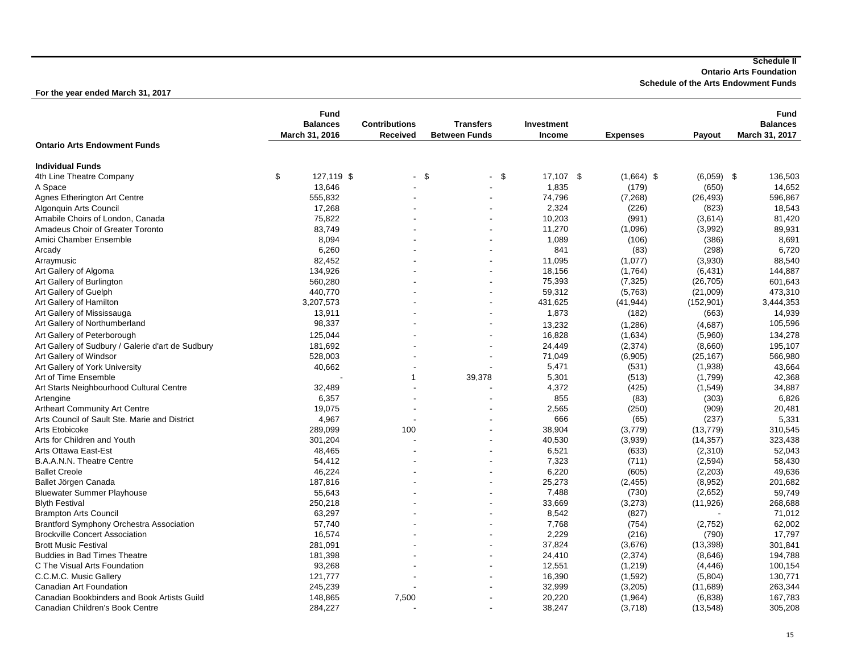**Ontario Arts Foundation**

**Schedule of the Arts Endowment Funds**

|                                                   | <b>Fund</b><br><b>Balances</b><br>March 31, 2016 | <b>Contributions</b><br><b>Received</b> | <b>Transfers</b><br><b>Between Funds</b> | Investment<br><b>Income</b> | <b>Expenses</b> | Payout     | <b>Fund</b><br><b>Balances</b><br>March 31, 2017 |
|---------------------------------------------------|--------------------------------------------------|-----------------------------------------|------------------------------------------|-----------------------------|-----------------|------------|--------------------------------------------------|
| <b>Ontario Arts Endowment Funds</b>               |                                                  |                                         |                                          |                             |                 |            |                                                  |
| <b>Individual Funds</b>                           |                                                  |                                         |                                          |                             |                 |            |                                                  |
| 4th Line Theatre Company                          | \$<br>127,119 \$                                 | - \$                                    | - \$                                     | 17,107<br>\$                | $(1,664)$ \$    | (6,059)    | \$<br>136,503                                    |
| A Space                                           | 13,646                                           |                                         |                                          | 1,835                       | (179)           | (650)      | 14,652                                           |
| Agnes Etherington Art Centre                      | 555,832                                          |                                         |                                          | 74,796                      | (7, 268)        | (26, 493)  | 596,867                                          |
| Algonquin Arts Council                            | 17,268                                           |                                         |                                          | 2,324                       | (226)           | (823)      | 18,543                                           |
| Amabile Choirs of London, Canada                  | 75.822                                           |                                         |                                          | 10,203                      | (991)           | (3,614)    | 81,420                                           |
| Amadeus Choir of Greater Toronto                  | 83,749                                           |                                         |                                          | 11,270                      | (1,096)         | (3,992)    | 89,931                                           |
| Amici Chamber Ensemble                            | 8,094                                            |                                         |                                          | 1,089                       | (106)           | (386)      | 8,691                                            |
| Arcady                                            | 6,260                                            |                                         |                                          | 841                         | (83)            | (298)      | 6,720                                            |
| Arraymusic                                        | 82,452                                           |                                         |                                          | 11,095                      | (1,077)         | (3,930)    | 88,540                                           |
| Art Gallery of Algoma                             | 134,926                                          |                                         |                                          | 18,156                      | (1,764)         | (6, 431)   | 144,887                                          |
| Art Gallery of Burlington                         | 560,280                                          |                                         |                                          | 75,393                      | (7, 325)        | (26, 705)  | 601,643                                          |
| Art Gallery of Guelph                             | 440,770                                          |                                         |                                          | 59,312                      | (5,763)         | (21,009)   | 473,310                                          |
| Art Gallery of Hamilton                           | 3,207,573                                        |                                         |                                          | 431,625                     | (41, 944)       | (152, 901) | 3,444,353                                        |
| Art Gallery of Mississauga                        | 13,911                                           |                                         |                                          | 1,873                       | (182)           | (663)      | 14,939                                           |
| Art Gallery of Northumberland                     | 98,337                                           |                                         |                                          |                             |                 |            | 105,596                                          |
|                                                   |                                                  |                                         |                                          | 13,232                      | (1, 286)        | (4,687)    |                                                  |
| Art Gallery of Peterborough                       | 125,044                                          |                                         |                                          | 16,828                      | (1,634)         | (5,960)    | 134,278                                          |
| Art Gallery of Sudbury / Galerie d'art de Sudbury | 181,692                                          |                                         |                                          | 24,449                      | (2, 374)        | (8,660)    | 195,107                                          |
| Art Gallery of Windsor                            | 528,003                                          |                                         |                                          | 71,049                      | (6,905)         | (25, 167)  | 566,980                                          |
| Art Gallery of York University                    | 40,662                                           |                                         |                                          | 5,471                       | (531)           | (1,938)    | 43,664                                           |
| Art of Time Ensemble                              |                                                  | $\mathbf{1}$                            | 39,378                                   | 5,301                       | (513)           | (1,799)    | 42,368                                           |
| Art Starts Neighbourhood Cultural Centre          | 32,489                                           |                                         |                                          | 4,372                       | (425)           | (1,549)    | 34,887                                           |
| Artengine                                         | 6,357                                            | ٠                                       |                                          | 855                         | (83)            | (303)      | 6,826                                            |
| <b>Artheart Community Art Centre</b>              | 19,075                                           |                                         |                                          | 2,565                       | (250)           | (909)      | 20,481                                           |
| Arts Council of Sault Ste. Marie and District     | 4,967                                            |                                         |                                          | 666                         | (65)            | (237)      | 5,331                                            |
| Arts Etobicoke                                    | 289.099                                          | 100                                     |                                          | 38,904                      | (3,779)         | (13, 779)  | 310,545                                          |
| Arts for Children and Youth                       | 301,204                                          | J.                                      |                                          | 40,530                      | (3,939)         | (14, 357)  | 323,438                                          |
| <b>Arts Ottawa East-Est</b>                       | 48,465                                           |                                         |                                          | 6,521                       | (633)           | (2, 310)   | 52,043                                           |
| B.A.A.N.N. Theatre Centre                         | 54,412                                           |                                         |                                          | 7,323                       | (711)           | (2, 594)   | 58,430                                           |
| <b>Ballet Creole</b>                              | 46,224                                           |                                         |                                          | 6,220                       | (605)           | (2,203)    | 49,636                                           |
| Ballet Jörgen Canada                              | 187,816                                          |                                         |                                          | 25,273                      | (2, 455)        | (8,952)    | 201,682                                          |
| <b>Bluewater Summer Playhouse</b>                 | 55,643                                           |                                         |                                          | 7,488                       | (730)           | (2,652)    | 59,749                                           |
| <b>Blyth Festival</b>                             | 250,218                                          |                                         |                                          | 33,669                      | (3,273)         | (11, 926)  | 268,688                                          |
| <b>Brampton Arts Council</b>                      | 63,297                                           |                                         |                                          | 8,542                       | (827)           |            | 71,012                                           |
| Brantford Symphony Orchestra Association          | 57,740                                           |                                         |                                          | 7,768                       | (754)           | (2,752)    | 62,002                                           |
| <b>Brockville Concert Association</b>             | 16,574                                           |                                         |                                          | 2,229                       | (216)           | (790)      | 17,797                                           |
| <b>Brott Music Festival</b>                       | 281,091                                          |                                         |                                          | 37,824                      |                 |            | 301,841                                          |
|                                                   |                                                  |                                         |                                          |                             | (3,676)         | (13, 398)  |                                                  |
| <b>Buddies in Bad Times Theatre</b>               | 181,398                                          |                                         |                                          | 24,410                      | (2, 374)        | (8,646)    | 194,788                                          |
| C The Visual Arts Foundation                      | 93,268                                           |                                         |                                          | 12,551                      | (1, 219)        | (4, 446)   | 100,154                                          |
| C.C.M.C. Music Gallery                            | 121,777                                          |                                         |                                          | 16,390                      | (1, 592)        | (5,804)    | 130,771                                          |
| Canadian Art Foundation                           | 245,239                                          |                                         |                                          | 32,999                      | (3, 205)        | (11,689)   | 263,344                                          |
| Canadian Bookbinders and Book Artists Guild       | 148,865                                          | 7,500                                   |                                          | 20,220                      | (1, 964)        | (6,838)    | 167,783                                          |
| Canadian Children's Book Centre                   | 284,227                                          |                                         |                                          | 38,247                      | (3,718)         | (13, 548)  | 305,208                                          |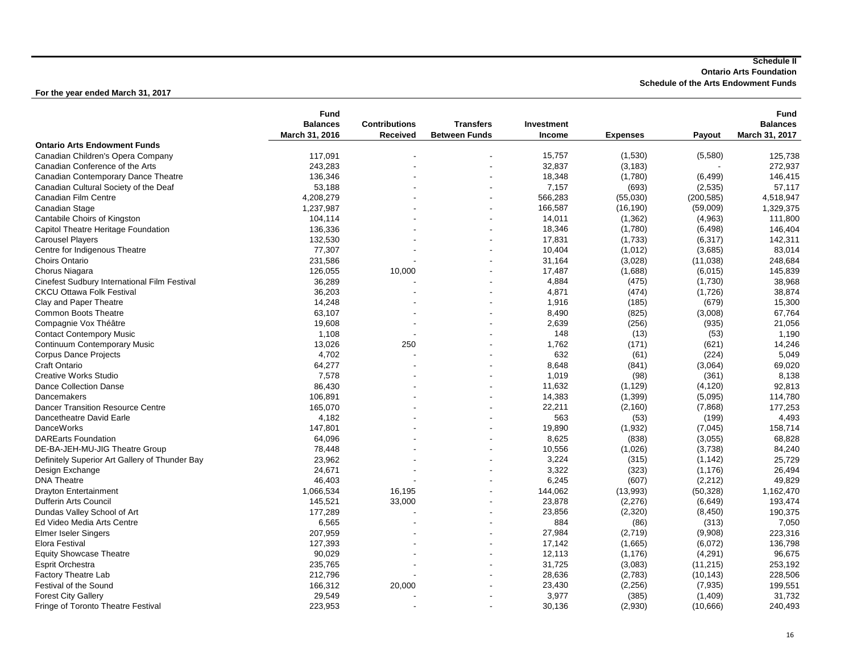**Ontario Arts Foundation**

**Schedule of the Arts Endowment Funds**

|                                                | <b>Fund</b>     |                          |                      |               |                 |            | <b>Fund</b>     |
|------------------------------------------------|-----------------|--------------------------|----------------------|---------------|-----------------|------------|-----------------|
|                                                | <b>Balances</b> | <b>Contributions</b>     | <b>Transfers</b>     | Investment    |                 |            | <b>Balances</b> |
|                                                | March 31, 2016  | Received                 | <b>Between Funds</b> | <b>Income</b> | <b>Expenses</b> | Payout     | March 31, 2017  |
| <b>Ontario Arts Endowment Funds</b>            |                 |                          |                      |               |                 |            |                 |
| Canadian Children's Opera Company              | 117,091         |                          |                      | 15,757        | (1,530)         | (5,580)    | 125,738         |
| Canadian Conference of the Arts                | 243,283         |                          |                      | 32,837        | (3, 183)        |            | 272,937         |
| Canadian Contemporary Dance Theatre            | 136,346         |                          |                      | 18,348        | (1,780)         | (6, 499)   | 146,415         |
| Canadian Cultural Society of the Deaf          | 53,188          |                          |                      | 7,157         | (693)           | (2, 535)   | 57,117          |
| Canadian Film Centre                           | 4,208,279       |                          |                      | 566,283       | (55,030)        | (200, 585) | 4,518,947       |
| Canadian Stage                                 | 1,237,987       |                          |                      | 166,587       | (16, 190)       | (59,009)   | 1,329,375       |
| Cantabile Choirs of Kingston                   | 104,114         |                          |                      | 14,011        | (1, 362)        | (4,963)    | 111,800         |
| Capitol Theatre Heritage Foundation            | 136,336         |                          |                      | 18,346        | (1,780)         | (6, 498)   | 146,404         |
| <b>Carousel Players</b>                        | 132,530         |                          |                      | 17,831        | (1,733)         | (6, 317)   | 142,311         |
| Centre for Indigenous Theatre                  | 77,307          |                          |                      | 10,404        | (1,012)         | (3,685)    | 83,014          |
| Choirs Ontario                                 | 231,586         |                          |                      | 31,164        | (3,028)         |            | 248,684         |
|                                                |                 |                          |                      |               |                 | (11, 038)  |                 |
| Chorus Niagara                                 | 126,055         | 10,000                   |                      | 17,487        | (1,688)         | (6,015)    | 145,839         |
| Cinefest Sudbury International Film Festival   | 36,289          |                          |                      | 4,884         | (475)           | (1,730)    | 38,968          |
| <b>CKCU Ottawa Folk Festival</b>               | 36,203          |                          |                      | 4,871         | (474)           | (1,726)    | 38,874          |
| Clay and Paper Theatre                         | 14,248          |                          |                      | 1,916         | (185)           | (679)      | 15,300          |
| Common Boots Theatre                           | 63,107          |                          |                      | 8,490         | (825)           | (3,008)    | 67,764          |
| Compagnie Vox Théâtre                          | 19,608          | $\overline{\phantom{a}}$ |                      | 2,639         | (256)           | (935)      | 21,056          |
| <b>Contact Contempory Music</b>                | 1,108           |                          |                      | 148           | (13)            | (53)       | 1,190           |
| Continuum Contemporary Music                   | 13.026          | 250                      |                      | 1,762         | (171)           | (621)      | 14,246          |
| <b>Corpus Dance Projects</b>                   | 4,702           |                          |                      | 632           | (61)            | (224)      | 5,049           |
| Craft Ontario                                  | 64,277          |                          |                      | 8,648         | (841)           | (3,064)    | 69,020          |
| <b>Creative Works Studio</b>                   | 7,578           |                          |                      | 1,019         | (98)            | (361)      | 8,138           |
| <b>Dance Collection Danse</b>                  | 86,430          |                          |                      | 11,632        | (1, 129)        | (4, 120)   | 92,813          |
| Dancemakers                                    | 106,891         |                          |                      | 14,383        | (1, 399)        | (5,095)    | 114,780         |
| <b>Dancer Transition Resource Centre</b>       | 165,070         |                          |                      | 22,211        | (2, 160)        | (7,868)    | 177,253         |
| Dancetheatre David Earle                       | 4,182           |                          |                      | 563           | (53)            | (199)      | 4,493           |
| <b>DanceWorks</b>                              | 147,801         |                          |                      | 19,890        | (1,932)         | (7,045)    | 158,714         |
| <b>DAREarts Foundation</b>                     | 64,096          |                          |                      | 8,625         | (838)           | (3,055)    | 68,828          |
| DE-BA-JEH-MU-JIG Theatre Group                 | 78,448          |                          |                      | 10,556        | (1,026)         | (3,738)    | 84,240          |
| Definitely Superior Art Gallery of Thunder Bay | 23,962          |                          |                      | 3,224         | (315)           | (1, 142)   | 25,729          |
| Design Exchange                                | 24,671          |                          |                      | 3,322         | (323)           | (1, 176)   | 26,494          |
| <b>DNA Theatre</b>                             | 46,403          |                          |                      | 6,245         | (607)           | (2, 212)   | 49,829          |
| <b>Drayton Entertainment</b>                   | 1,066,534       | 16,195                   |                      | 144,062       | (13,993)        | (50, 328)  | 1,162,470       |
| <b>Dufferin Arts Council</b>                   |                 |                          |                      | 23,878        | (2, 276)        |            |                 |
|                                                | 145,521         | 33,000                   |                      |               |                 | (6,649)    | 193,474         |
| Dundas Valley School of Art                    | 177,289         |                          |                      | 23,856        | (2, 320)        | (8, 450)   | 190,375         |
| Ed Video Media Arts Centre                     | 6,565           |                          |                      | 884           | (86)            | (313)      | 7,050           |
| <b>Elmer Iseler Singers</b>                    | 207,959         |                          |                      | 27,984        | (2,719)         | (9,908)    | 223,316         |
| <b>Elora Festival</b>                          | 127,393         |                          |                      | 17,142        | (1,665)         | (6,072)    | 136,798         |
| <b>Equity Showcase Theatre</b>                 | 90,029          |                          |                      | 12,113        | (1, 176)        | (4, 291)   | 96,675          |
| <b>Esprit Orchestra</b>                        | 235,765         |                          |                      | 31,725        | (3,083)         | (11, 215)  | 253,192         |
| <b>Factory Theatre Lab</b>                     | 212,796         |                          |                      | 28,636        | (2,783)         | (10, 143)  | 228,506         |
| Festival of the Sound                          | 166,312         | 20,000                   |                      | 23,430        | (2, 256)        | (7, 935)   | 199,551         |
| <b>Forest City Gallery</b>                     | 29,549          |                          |                      | 3,977         | (385)           | (1,409)    | 31,732          |
| <b>Fringe of Toronto Theatre Festival</b>      | 223,953         |                          |                      | 30,136        | (2,930)         | (10,666)   | 240,493         |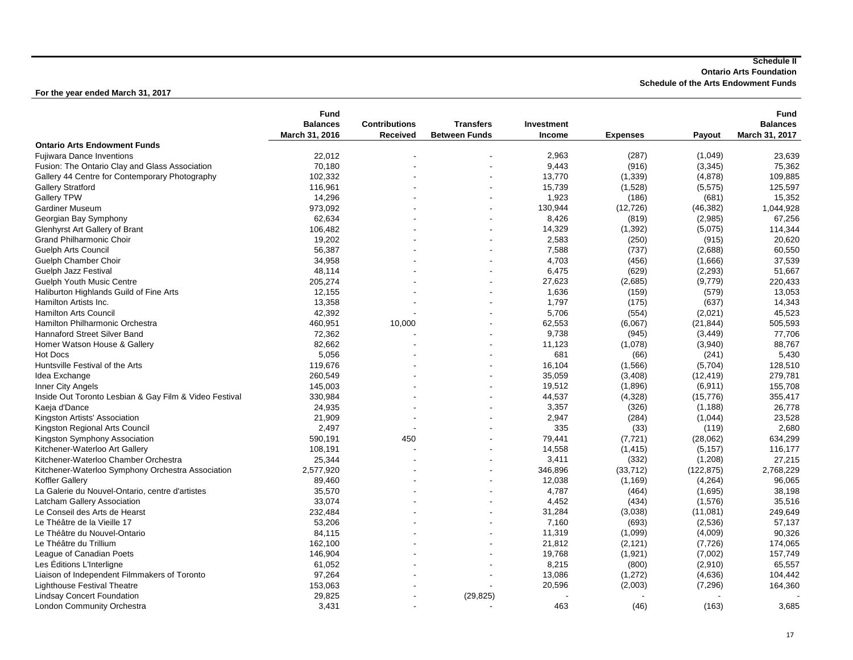**Ontario Arts Foundation**

**Schedule of the Arts Endowment Funds**

|                                                        | Fund            |                      |                      |               |                 |            | <b>Fund</b>     |
|--------------------------------------------------------|-----------------|----------------------|----------------------|---------------|-----------------|------------|-----------------|
|                                                        | <b>Balances</b> | <b>Contributions</b> | <b>Transfers</b>     | Investment    |                 |            | <b>Balances</b> |
|                                                        | March 31, 2016  | <b>Received</b>      | <b>Between Funds</b> | Income        | <b>Expenses</b> | Payout     | March 31, 2017  |
| <b>Ontario Arts Endowment Funds</b>                    |                 |                      |                      |               |                 |            |                 |
| <b>Fujiwara Dance Inventions</b>                       | 22,012          |                      |                      | 2,963         | (287)           | (1,049)    | 23,639          |
| Fusion: The Ontario Clay and Glass Association         | 70,180          |                      |                      | 9,443         | (916)           | (3, 345)   | 75,362          |
| Gallery 44 Centre for Contemporary Photography         | 102,332         |                      |                      | 13,770        | (1, 339)        | (4, 878)   | 109,885         |
| <b>Gallery Stratford</b>                               | 116,961         |                      |                      | 15,739        | (1,528)         | (5, 575)   | 125,597         |
| <b>Gallery TPW</b>                                     | 14,296          |                      |                      | 1,923         | (186)           | (681)      | 15,352          |
| Gardiner Museum                                        | 973,092         |                      |                      | 130,944       | (12, 726)       | (46, 382)  | 1,044,928       |
| Georgian Bay Symphony                                  | 62,634          |                      |                      | 8,426         | (819)           | (2,985)    | 67,256          |
| Glenhyrst Art Gallery of Brant                         | 106,482         |                      |                      | 14,329        | (1, 392)        | (5,075)    | 114,344         |
| <b>Grand Philharmonic Choir</b>                        | 19,202          |                      |                      | 2,583         | (250)           | (915)      | 20,620          |
| <b>Guelph Arts Council</b>                             | 56,387          |                      |                      | 7,588         | (737)           | (2,688)    | 60,550          |
| Guelph Chamber Choir                                   | 34,958          |                      |                      | 4,703         | (456)           | (1,666)    | 37,539          |
| Guelph Jazz Festival                                   | 48,114          |                      |                      | 6,475         | (629)           | (2, 293)   | 51,667          |
| <b>Guelph Youth Music Centre</b>                       | 205,274         |                      |                      | 27,623        | (2,685)         | (9,779)    | 220,433         |
| Haliburton Highlands Guild of Fine Arts                | 12,155          |                      |                      | 1,636         | (159)           | (579)      | 13,053          |
| Hamilton Artists Inc.                                  | 13,358          |                      |                      | 1,797         | (175)           | (637)      | 14,343          |
| <b>Hamilton Arts Council</b>                           | 42,392          |                      |                      | 5,706         | (554)           | (2,021)    | 45,523          |
| Hamilton Philharmonic Orchestra                        | 460,951         | 10,000               |                      | 62,553        | (6,067)         | (21, 844)  | 505,593         |
| <b>Hannaford Street Silver Band</b>                    | 72,362          |                      |                      | 9,738         | (945)           | (3, 449)   | 77,706          |
|                                                        |                 |                      |                      |               |                 |            |                 |
| Homer Watson House & Gallery                           | 82,662          |                      |                      | 11,123<br>681 | (1,078)         | (3,940)    | 88,767          |
| <b>Hot Docs</b>                                        | 5,056           |                      |                      |               | (66)            | (241)      | 5,430           |
| Huntsville Festival of the Arts                        | 119.676         |                      |                      | 16,104        | (1,566)         | (5,704)    | 128,510         |
| Idea Exchange                                          | 260,549         |                      |                      | 35,059        | (3,408)         | (12, 419)  | 279,781         |
| Inner City Angels                                      | 145,003         |                      |                      | 19,512        | (1,896)         | (6, 911)   | 155,708         |
| Inside Out Toronto Lesbian & Gay Film & Video Festival | 330,984         |                      |                      | 44,537        | (4,328)         | (15, 776)  | 355,417         |
| Kaeja d'Dance                                          | 24,935          |                      |                      | 3,357         | (326)           | (1, 188)   | 26,778          |
| Kingston Artists' Association                          | 21,909          |                      |                      | 2,947         | (284)           | (1,044)    | 23,528          |
| Kingston Regional Arts Council                         | 2,497           |                      |                      | 335           | (33)            | (119)      | 2,680           |
| Kingston Symphony Association                          | 590,191         | 450                  |                      | 79,441        | (7, 721)        | (28,062)   | 634,299         |
| Kitchener-Waterloo Art Gallery                         | 108,191         |                      |                      | 14,558        | (1, 415)        | (5, 157)   | 116,177         |
| Kitchener-Waterloo Chamber Orchestra                   | 25,344          |                      |                      | 3,411         | (332)           | (1,208)    | 27,215          |
| Kitchener-Waterloo Symphony Orchestra Association      | 2,577,920       |                      |                      | 346,896       | (33, 712)       | (122, 875) | 2,768,229       |
| <b>Koffler Gallery</b>                                 | 89,460          |                      |                      | 12,038        | (1, 169)        | (4, 264)   | 96,065          |
| La Galerie du Nouvel-Ontario, centre d'artistes        | 35,570          |                      |                      | 4,787         | (464)           | (1,695)    | 38,198          |
| Latcham Gallery Association                            | 33,074          |                      |                      | 4,452         | (434)           | (1,576)    | 35,516          |
| Le Conseil des Arts de Hearst                          | 232,484         |                      |                      | 31,284        | (3,038)         | (11,081)   | 249,649         |
| Le Théâtre de la Vieille 17                            | 53.206          |                      |                      | 7,160         | (693)           | (2,536)    | 57,137          |
| Le Théâtre du Nouvel-Ontario                           | 84,115          |                      |                      | 11,319        | (1,099)         | (4,009)    | 90,326          |
| Le Théâtre du Trillium                                 | 162,100         |                      |                      | 21,812        | (2, 121)        | (7, 726)   | 174,065         |
| League of Canadian Poets                               | 146,904         |                      |                      | 19,768        | (1,921)         | (7,002)    | 157,749         |
| Les Editions L'Interligne                              | 61,052          |                      |                      | 8,215         | (800)           | (2,910)    | 65,557          |
| Liaison of Independent Filmmakers of Toronto           | 97,264          |                      |                      | 13,086        | (1, 272)        | (4,636)    | 104,442         |
| <b>Lighthouse Festival Theatre</b>                     | 153,063         |                      |                      | 20,596        |                 |            |                 |
|                                                        |                 |                      |                      |               | (2,003)         | (7, 296)   | 164,360         |
| <b>Lindsay Concert Foundation</b>                      | 29,825          |                      | (29, 825)            |               |                 |            |                 |
| London Community Orchestra                             | 3,431           |                      |                      | 463           | (46)            | (163)      | 3,685           |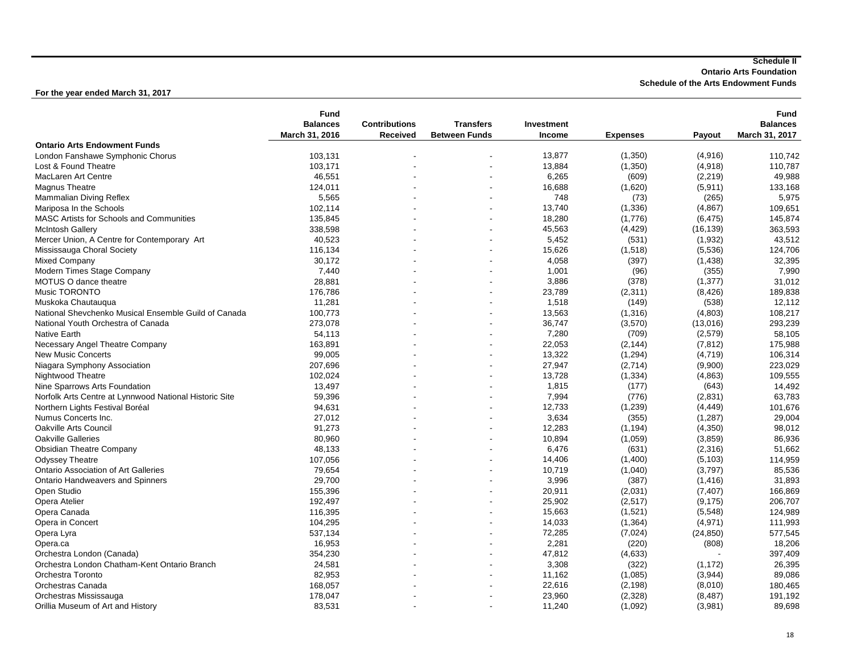**Ontario Arts Foundation**

**Schedule of the Arts Endowment Funds**

|                                                        | <b>Fund</b>     |                      |                      |               |                 |           | <b>Fund</b>     |
|--------------------------------------------------------|-----------------|----------------------|----------------------|---------------|-----------------|-----------|-----------------|
|                                                        | <b>Balances</b> | <b>Contributions</b> | <b>Transfers</b>     | Investment    |                 |           | <b>Balances</b> |
|                                                        | March 31, 2016  | Received             | <b>Between Funds</b> | <b>Income</b> | <b>Expenses</b> | Payout    | March 31, 2017  |
| <b>Ontario Arts Endowment Funds</b>                    |                 |                      |                      |               |                 |           |                 |
| London Fanshawe Symphonic Chorus                       | 103,131         |                      |                      | 13,877        | (1,350)         | (4,916)   | 110,742         |
| Lost & Found Theatre                                   | 103,171         |                      |                      | 13,884        | (1, 350)        | (4,918)   | 110,787         |
| MacLaren Art Centre                                    | 46,551          |                      |                      | 6,265         | (609)           | (2, 219)  | 49,988          |
| <b>Magnus Theatre</b>                                  | 124,011         |                      |                      | 16,688        | (1,620)         | (5, 911)  | 133,168         |
| Mammalian Diving Reflex                                | 5,565           |                      |                      | 748           | (73)            | (265)     | 5,975           |
| Mariposa In the Schools                                | 102,114         |                      |                      | 13,740        | (1, 336)        | (4, 867)  | 109,651         |
| MASC Artists for Schools and Communities               | 135,845         |                      |                      | 18,280        | (1,776)         | (6, 475)  | 145,874         |
| <b>McIntosh Gallery</b>                                | 338.598         |                      |                      | 45,563        | (4, 429)        | (16, 139) | 363.593         |
| Mercer Union, A Centre for Contemporary Art            | 40,523          |                      |                      | 5,452         | (531)           | (1,932)   | 43,512          |
| Mississauga Choral Society                             | 116,134         |                      |                      | 15,626        | (1, 518)        | (5,536)   | 124,706         |
| Mixed Company                                          | 30,172          |                      |                      | 4,058         | (397)           | (1,438)   | 32,395          |
| Modern Times Stage Company                             | 7,440           |                      |                      | 1,001         | (96)            | (355)     | 7,990           |
| MOTUS O dance theatre                                  | 28,881          |                      |                      | 3,886         | (378)           | (1, 377)  | 31,012          |
| Music TORONTO                                          | 176,786         |                      |                      | 23,789        | (2,311)         | (8, 426)  | 189,838         |
| Muskoka Chautaugua                                     | 11,281          |                      |                      | 1,518         | (149)           | (538)     | 12,112          |
| National Shevchenko Musical Ensemble Guild of Canada   | 100,773         |                      |                      | 13,563        | (1,316)         | (4,803)   | 108,217         |
| National Youth Orchestra of Canada                     | 273,078         |                      |                      | 36,747        | (3,570)         | (13,016)  | 293,239         |
| <b>Native Earth</b>                                    | 54,113          |                      |                      | 7,280         | (709)           | (2,579)   | 58,105          |
| Necessary Angel Theatre Company                        | 163,891         |                      |                      | 22,053        | (2, 144)        | (7, 812)  | 175,988         |
| <b>New Music Concerts</b>                              | 99,005          |                      |                      | 13,322        | (1, 294)        | (4, 719)  | 106,314         |
| Niagara Symphony Association                           | 207,696         |                      |                      | 27,947        | (2,714)         | (9,900)   | 223,029         |
| Nightwood Theatre                                      | 102,024         |                      |                      | 13,728        | (1, 334)        | (4,863)   | 109,555         |
| Nine Sparrows Arts Foundation                          | 13,497          |                      |                      | 1,815         | (177)           | (643)     | 14,492          |
|                                                        |                 |                      |                      |               |                 |           |                 |
| Norfolk Arts Centre at Lynnwood National Historic Site | 59,396          |                      |                      | 7,994         | (776)           | (2,831)   | 63,783          |
| Northern Lights Festival Boréal                        | 94,631          |                      |                      | 12,733        | (1,239)         | (4, 449)  | 101,676         |
| Numus Concerts Inc.                                    | 27,012          |                      |                      | 3,634         | (355)           | (1, 287)  | 29,004          |
| <b>Oakville Arts Council</b>                           | 91,273          |                      |                      | 12,283        | (1, 194)        | (4,350)   | 98,012          |
| <b>Oakville Galleries</b>                              | 80,960          |                      |                      | 10,894        | (1,059)         | (3,859)   | 86,936          |
| <b>Obsidian Theatre Company</b>                        | 48,133          |                      |                      | 6,476         | (631)           | (2,316)   | 51,662          |
| <b>Odyssey Theatre</b>                                 | 107,056         |                      |                      | 14,406        | (1,400)         | (5, 103)  | 114,959         |
| <b>Ontario Association of Art Galleries</b>            | 79,654          |                      |                      | 10,719        | (1,040)         | (3,797)   | 85,536          |
| <b>Ontario Handweavers and Spinners</b>                | 29,700          |                      |                      | 3,996         | (387)           | (1, 416)  | 31,893          |
| Open Studio                                            | 155,396         |                      |                      | 20,911        | (2,031)         | (7, 407)  | 166,869         |
| Opera Atelier                                          | 192,497         |                      |                      | 25.902        | (2,517)         | (9, 175)  | 206,707         |
| Opera Canada                                           | 116,395         |                      |                      | 15,663        | (1,521)         | (5,548)   | 124,989         |
| Opera in Concert                                       | 104,295         |                      |                      | 14,033        | (1, 364)        | (4,971)   | 111,993         |
| Opera Lyra                                             | 537,134         |                      |                      | 72,285        | (7,024)         | (24, 850) | 577,545         |
| Opera.ca                                               | 16,953          |                      |                      | 2,281         | (220)           | (808)     | 18,206          |
| Orchestra London (Canada)                              | 354,230         |                      |                      | 47,812        | (4,633)         |           | 397,409         |
| Orchestra London Chatham-Kent Ontario Branch           | 24,581          |                      |                      | 3,308         | (322)           | (1, 172)  | 26,395          |
| Orchestra Toronto                                      | 82,953          |                      |                      | 11,162        | (1,085)         | (3,944)   | 89,086          |
| Orchestras Canada                                      | 168,057         |                      |                      | 22,616        | (2, 198)        | (8,010)   | 180,465         |
| Orchestras Mississauga                                 | 178,047         |                      |                      | 23,960        | (2,328)         | (8, 487)  | 191,192         |
| Orillia Museum of Art and History                      | 83,531          |                      |                      | 11,240        | (1,092)         | (3,981)   | 89,698          |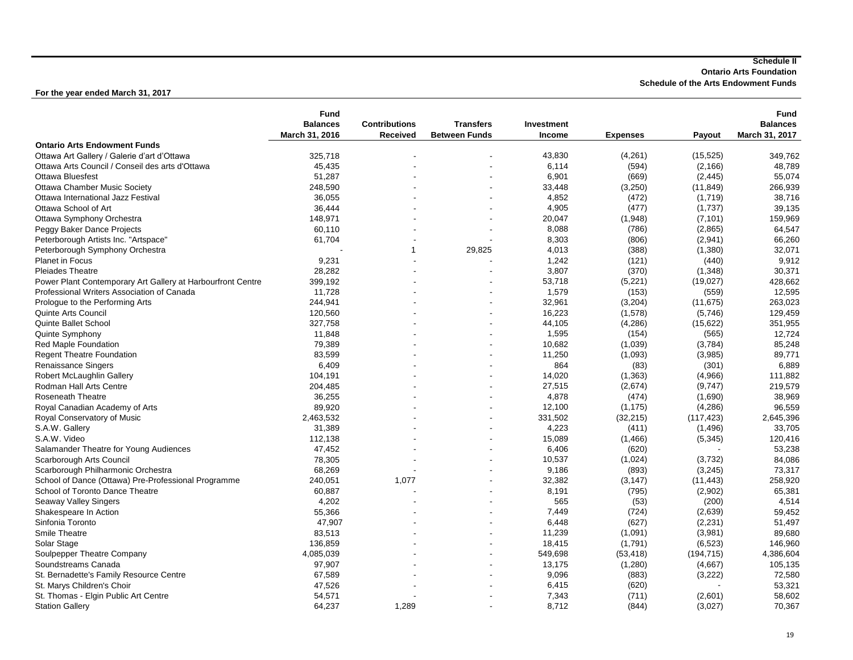**Ontario Arts Foundation**

**Schedule of the Arts Endowment Funds**

|                                                             | <b>Fund</b>     |                      |                          |               |                 |            | <b>Fund</b>     |
|-------------------------------------------------------------|-----------------|----------------------|--------------------------|---------------|-----------------|------------|-----------------|
|                                                             | <b>Balances</b> | <b>Contributions</b> | <b>Transfers</b>         | Investment    |                 |            | <b>Balances</b> |
|                                                             | March 31, 2016  | Received             | <b>Between Funds</b>     | <b>Income</b> | <b>Expenses</b> | Payout     | March 31, 2017  |
| <b>Ontario Arts Endowment Funds</b>                         |                 |                      |                          |               |                 |            |                 |
| Ottawa Art Gallery / Galerie d'art d'Ottawa                 | 325,718         |                      |                          | 43,830        | (4,261)         | (15, 525)  | 349,762         |
| Ottawa Arts Council / Conseil des arts d'Ottawa             | 45,435          |                      |                          | 6,114         | (594)           | (2, 166)   | 48,789          |
| <b>Ottawa Bluesfest</b>                                     | 51,287          |                      |                          | 6,901         | (669)           | (2, 445)   | 55,074          |
| <b>Ottawa Chamber Music Society</b>                         | 248,590         |                      |                          | 33,448        | (3,250)         | (11, 849)  | 266,939         |
| Ottawa International Jazz Festival                          | 36,055          |                      |                          | 4,852         | (472)           | (1,719)    | 38,716          |
| Ottawa School of Art                                        | 36,444          |                      |                          | 4,905         | (477)           | (1,737)    | 39,135          |
| Ottawa Symphony Orchestra                                   | 148,971         |                      |                          | 20,047        | (1,948)         | (7, 101)   | 159,969         |
| Peggy Baker Dance Projects                                  | 60,110          |                      |                          | 8,088         | (786)           | (2,865)    | 64,547          |
| Peterborough Artists Inc. "Artspace"                        | 61,704          |                      |                          | 8,303         | (806)           | (2,941)    | 66,260          |
| Peterborough Symphony Orchestra                             |                 | 1                    | 29,825                   | 4,013         | (388)           | (1,380)    | 32,071          |
| Planet in Focus                                             | 9,231           |                      |                          | 1,242         | (121)           | (440)      | 9,912           |
| <b>Pleiades Theatre</b>                                     | 28,282          |                      |                          | 3,807         | (370)           | (1, 348)   | 30,371          |
| Power Plant Contemporary Art Gallery at Harbourfront Centre | 399,192         |                      |                          | 53,718        | (5,221)         | (19,027)   | 428,662         |
| Professional Writers Association of Canada                  | 11,728          |                      |                          | 1,579         | (153)           | (559)      | 12,595          |
| Prologue to the Performing Arts                             | 244,941         |                      |                          | 32,961        | (3,204)         | (11, 675)  | 263,023         |
| <b>Quinte Arts Council</b>                                  | 120,560         |                      |                          | 16,223        |                 |            | 129,459         |
|                                                             |                 |                      |                          | 44,105        | (1,578)         | (5,746)    |                 |
| Quinte Ballet School                                        | 327,758         |                      |                          |               | (4, 286)        | (15, 622)  | 351,955         |
| Quinte Symphony                                             | 11,848          |                      |                          | 1,595         | (154)           | (565)      | 12,724          |
| Red Maple Foundation                                        | 79,389          |                      |                          | 10,682        | (1,039)         | (3,784)    | 85,248          |
| <b>Regent Theatre Foundation</b>                            | 83,599          |                      |                          | 11,250        | (1,093)         | (3,985)    | 89,771          |
| Renaissance Singers                                         | 6,409           |                      |                          | 864           | (83)            | (301)      | 6,889           |
| Robert McLaughlin Gallery                                   | 104,191         |                      |                          | 14,020        | (1,363)         | (4,966)    | 111,882         |
| <b>Rodman Hall Arts Centre</b>                              | 204,485         |                      |                          | 27,515        | (2,674)         | (9,747)    | 219,579         |
| <b>Roseneath Theatre</b>                                    | 36,255          |                      |                          | 4,878         | (474)           | (1,690)    | 38,969          |
| Royal Canadian Academy of Arts                              | 89,920          |                      |                          | 12,100        | (1, 175)        | (4, 286)   | 96,559          |
| Royal Conservatory of Music                                 | 2,463,532       |                      |                          | 331,502       | (32, 215)       | (117, 423) | 2,645,396       |
| S.A.W. Gallery                                              | 31,389          |                      |                          | 4,223         | (411)           | (1, 496)   | 33,705          |
| S.A.W. Video                                                | 112,138         |                      |                          | 15,089        | (1,466)         | (5, 345)   | 120,416         |
| Salamander Theatre for Young Audiences                      | 47,452          |                      |                          | 6,406         | (620)           |            | 53,238          |
| Scarborough Arts Council                                    | 78,305          |                      |                          | 10,537        | (1,024)         | (3,732)    | 84,086          |
| Scarborough Philharmonic Orchestra                          | 68,269          |                      |                          | 9,186         | (893)           | (3, 245)   | 73,317          |
| School of Dance (Ottawa) Pre-Professional Programme         | 240,051         | 1,077                | $\overline{\phantom{a}}$ | 32,382        | (3, 147)        | (11, 443)  | 258,920         |
| School of Toronto Dance Theatre                             | 60,887          |                      |                          | 8,191         | (795)           | (2,902)    | 65,381          |
| Seaway Valley Singers                                       | 4,202           |                      |                          | 565           | (53)            | (200)      | 4,514           |
| Shakespeare In Action                                       | 55,366          |                      |                          | 7,449         | (724)           | (2,639)    | 59,452          |
| Sinfonia Toronto                                            | 47,907          |                      |                          | 6,448         | (627)           | (2, 231)   | 51,497          |
| Smile Theatre                                               | 83,513          |                      |                          | 11,239        |                 |            | 89,680          |
|                                                             |                 |                      |                          |               | (1,091)         | (3,981)    |                 |
| Solar Stage                                                 | 136,859         |                      |                          | 18,415        | (1,791)         | (6, 523)   | 146,960         |
| Soulpepper Theatre Company                                  | 4,085,039       |                      |                          | 549,698       | (53, 418)       | (194, 715) | 4,386,604       |
| Soundstreams Canada                                         | 97.907          |                      |                          | 13,175        | (1,280)         | (4,667)    | 105,135         |
| St. Bernadette's Family Resource Centre                     | 67,589          |                      |                          | 9,096         | (883)           | (3, 222)   | 72,580          |
| St. Marys Children's Choir                                  | 47,526          |                      |                          | 6,415         | (620)           |            | 53,321          |
| St. Thomas - Elgin Public Art Centre                        | 54,571          |                      |                          | 7,343         | (711)           | (2,601)    | 58,602          |
| <b>Station Gallery</b>                                      | 64,237          | 1,289                |                          | 8,712         | (844)           | (3,027)    | 70,367          |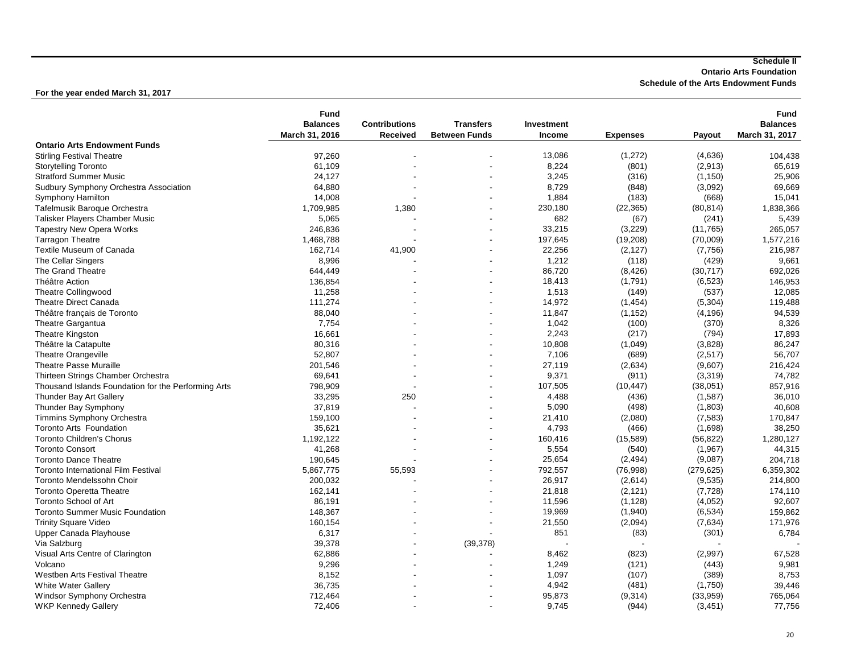**Ontario Arts Foundation**

**Schedule of the Arts Endowment Funds**

|                                                     | <b>Fund</b>     |                      |                      |            |                   |                   | <b>Fund</b>     |
|-----------------------------------------------------|-----------------|----------------------|----------------------|------------|-------------------|-------------------|-----------------|
|                                                     | <b>Balances</b> | <b>Contributions</b> | <b>Transfers</b>     | Investment |                   |                   | <b>Balances</b> |
|                                                     | March 31, 2016  | Received             | <b>Between Funds</b> | Income     | <b>Expenses</b>   | Payout            | March 31, 2017  |
| <b>Ontario Arts Endowment Funds</b>                 |                 |                      |                      |            |                   |                   |                 |
| <b>Stirling Festival Theatre</b>                    | 97,260          |                      |                      | 13,086     | (1,272)           | (4,636)           | 104,438         |
| <b>Storytelling Toronto</b>                         | 61,109          |                      |                      | 8,224      | (801)             | (2,913)           | 65,619          |
| <b>Stratford Summer Music</b>                       | 24,127          |                      |                      | 3,245      | (316)             | (1, 150)          | 25,906          |
| Sudbury Symphony Orchestra Association              | 64,880          |                      |                      | 8,729      | (848)             | (3,092)           | 69,669          |
| Symphony Hamilton                                   | 14,008          |                      |                      | 1,884      | (183)             | (668)             | 15,041          |
| Tafelmusik Baroque Orchestra                        | 1,709,985       | 1,380                |                      | 230,180    | (22, 365)         | (80, 814)         | 1,838,366       |
| <b>Talisker Players Chamber Music</b>               | 5,065           |                      |                      | 682        | (67)              | (241)             | 5,439           |
| <b>Tapestry New Opera Works</b>                     | 246,836         |                      |                      | 33,215     | (3,229)           | (11,765)          | 265,057         |
| <b>Tarragon Theatre</b>                             | 1,468,788       |                      |                      | 197,645    | (19,208)          | (70,009)          | 1,577,216       |
| Textile Museum of Canada                            | 162,714         | 41,900               |                      | 22,256     | (2, 127)          | (7, 756)          | 216,987         |
| The Cellar Singers                                  | 8,996           |                      |                      | 1,212      | (118)             | (429)             | 9,661           |
| The Grand Theatre                                   | 644,449         |                      |                      | 86,720     | (8, 426)          | (30, 717)         | 692,026         |
| Théâtre Action                                      | 136,854         |                      |                      | 18,413     | (1,791)           | (6, 523)          | 146,953         |
| Theatre Collingwood                                 | 11,258          |                      |                      | 1,513      | (149)             | (537)             | 12,085          |
| <b>Theatre Direct Canada</b>                        | 111,274         |                      |                      | 14,972     |                   | (5,304)           | 119,488         |
|                                                     | 88,040          |                      |                      | 11,847     | (1, 454)          |                   |                 |
| Théâtre français de Toronto                         |                 |                      |                      | 1,042      | (1, 152)<br>(100) | (4, 196)<br>(370) | 94,539          |
| <b>Theatre Gargantua</b>                            | 7,754           |                      |                      | 2,243      |                   |                   | 8,326           |
| <b>Theatre Kingston</b>                             | 16,661          |                      |                      |            | (217)             | (794)             | 17,893          |
| Théâtre la Catapulte                                | 80,316          |                      |                      | 10,808     | (1,049)           | (3,828)           | 86,247          |
| <b>Theatre Orangeville</b>                          | 52,807          |                      |                      | 7,106      | (689)             | (2,517)           | 56,707          |
| <b>Theatre Passe Muraille</b>                       | 201,546         |                      |                      | 27,119     | (2,634)           | (9,607)           | 216,424         |
| Thirteen Strings Chamber Orchestra                  | 69,641          |                      |                      | 9,371      | (911)             | (3,319)           | 74,782          |
| Thousand Islands Foundation for the Performing Arts | 798,909         |                      |                      | 107,505    | (10, 447)         | (38,051)          | 857,916         |
| Thunder Bay Art Gallery                             | 33,295          | 250                  |                      | 4,488      | (436)             | (1, 587)          | 36,010          |
| Thunder Bay Symphony                                | 37,819          |                      |                      | 5,090      | (498)             | (1,803)           | 40,608          |
| <b>Timmins Symphony Orchestra</b>                   | 159,100         |                      |                      | 21,410     | (2,080)           | (7, 583)          | 170,847         |
| Toronto Arts Foundation                             | 35,621          |                      |                      | 4,793      | (466)             | (1,698)           | 38,250          |
| <b>Toronto Children's Chorus</b>                    | 1,192,122       |                      |                      | 160,416    | (15, 589)         | (56, 822)         | 1,280,127       |
| <b>Toronto Consort</b>                              | 41,268          |                      |                      | 5,554      | (540)             | (1, 967)          | 44,315          |
| <b>Toronto Dance Theatre</b>                        | 190,645         |                      |                      | 25,654     | (2, 494)          | (9,087)           | 204,718         |
| <b>Toronto International Film Festival</b>          | 5,867,775       | 55,593               |                      | 792,557    | (76,998)          | (279, 625)        | 6,359,302       |
| Toronto Mendelssohn Choir                           | 200,032         |                      |                      | 26,917     | (2,614)           | (9,535)           | 214,800         |
| <b>Toronto Operetta Theatre</b>                     | 162,141         |                      |                      | 21,818     | (2, 121)          | (7, 728)          | 174,110         |
| Toronto School of Art                               | 86,191          |                      |                      | 11,596     | (1, 128)          | (4,052)           | 92,607          |
| <b>Toronto Summer Music Foundation</b>              | 148,367         |                      |                      | 19,969     | (1,940)           | (6, 534)          | 159,862         |
| <b>Trinity Square Video</b>                         | 160,154         |                      |                      | 21,550     | (2,094)           | (7,634)           | 171,976         |
| Upper Canada Playhouse                              | 6,317           |                      |                      | 851        | (83)              | (301)             | 6,784           |
| Via Salzburg                                        | 39,378          |                      | (39, 378)            |            |                   |                   |                 |
| Visual Arts Centre of Clarington                    | 62,886          |                      |                      | 8,462      | (823)             | (2,997)           | 67,528          |
| Volcano                                             | 9,296           |                      |                      | 1,249      | (121)             | (443)             | 9,981           |
| Westben Arts Festival Theatre                       | 8,152           |                      |                      | 1,097      | (107)             | (389)             | 8,753           |
| <b>White Water Gallery</b>                          | 36,735          |                      |                      | 4,942      | (481)             | (1,750)           | 39,446          |
| Windsor Symphony Orchestra                          | 712,464         |                      |                      | 95,873     | (9,314)           | (33,959)          | 765,064         |
| <b>WKP Kennedy Gallery</b>                          | 72,406          |                      |                      | 9.745      | (944)             | (3, 451)          | 77,756          |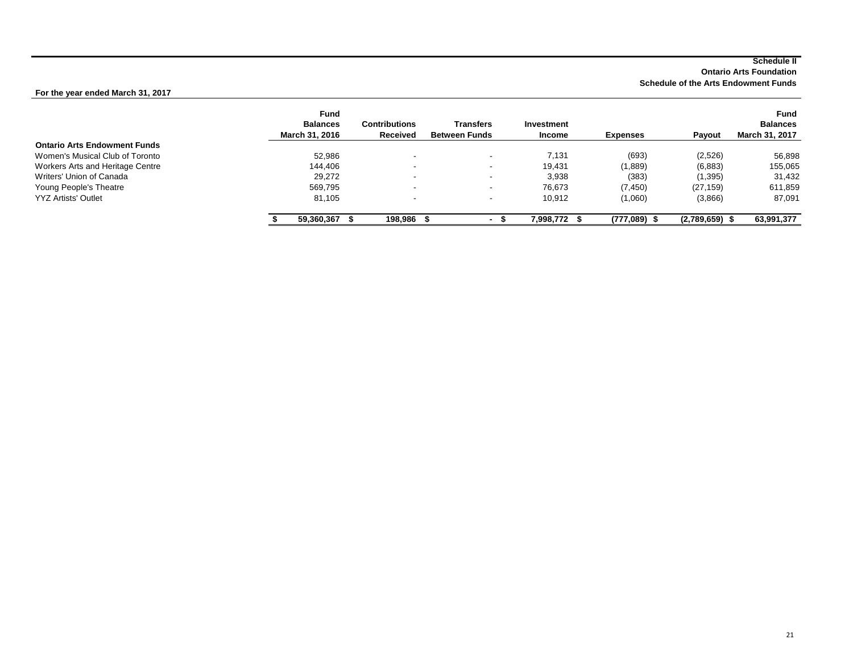**Ontario Arts Foundation**

**Schedule of the Arts Endowment Funds**

|                                     | <b>Fund</b><br><b>Balances</b><br>March 31, 2016 | <b>Contributions</b><br>Received | <b>Transfers</b><br><b>Between Funds</b> | Investment<br><b>Income</b> | <b>Expenses</b> | <b>Pavout</b>    | <b>Fund</b><br><b>Balances</b><br>March 31, 2017 |
|-------------------------------------|--------------------------------------------------|----------------------------------|------------------------------------------|-----------------------------|-----------------|------------------|--------------------------------------------------|
| <b>Ontario Arts Endowment Funds</b> |                                                  |                                  |                                          |                             |                 |                  |                                                  |
| Women's Musical Club of Toronto     | 52.986                                           |                                  | -                                        | 7.131                       | (693)           | (2,526)          | 56,898                                           |
| Workers Arts and Heritage Centre    | 144.406                                          | $\,$                             | $\overline{\phantom{a}}$                 | 19,431                      | (1,889)         | (6,883)          | 155,065                                          |
| Writers' Union of Canada            | 29,272                                           | $\overline{\phantom{a}}$         | $\overline{\phantom{a}}$                 | 3,938                       | (383)           | (1, 395)         | 31,432                                           |
| Young People's Theatre              | 569.795                                          | -                                | $\overline{\phantom{a}}$                 | 76.673                      | (7, 450)        | (27, 159)        | 611,859                                          |
| <b>YYZ Artists' Outlet</b>          | 81,105                                           | $\,$                             | $\overline{\phantom{a}}$                 | 10,912                      | (1,060)         | (3,866)          | 87,091                                           |
|                                     | 59,360,367                                       | 198,986                          |                                          | 7,998,772                   | $(777,089)$ \$  | $(2,789,659)$ \$ | 63,991,377                                       |